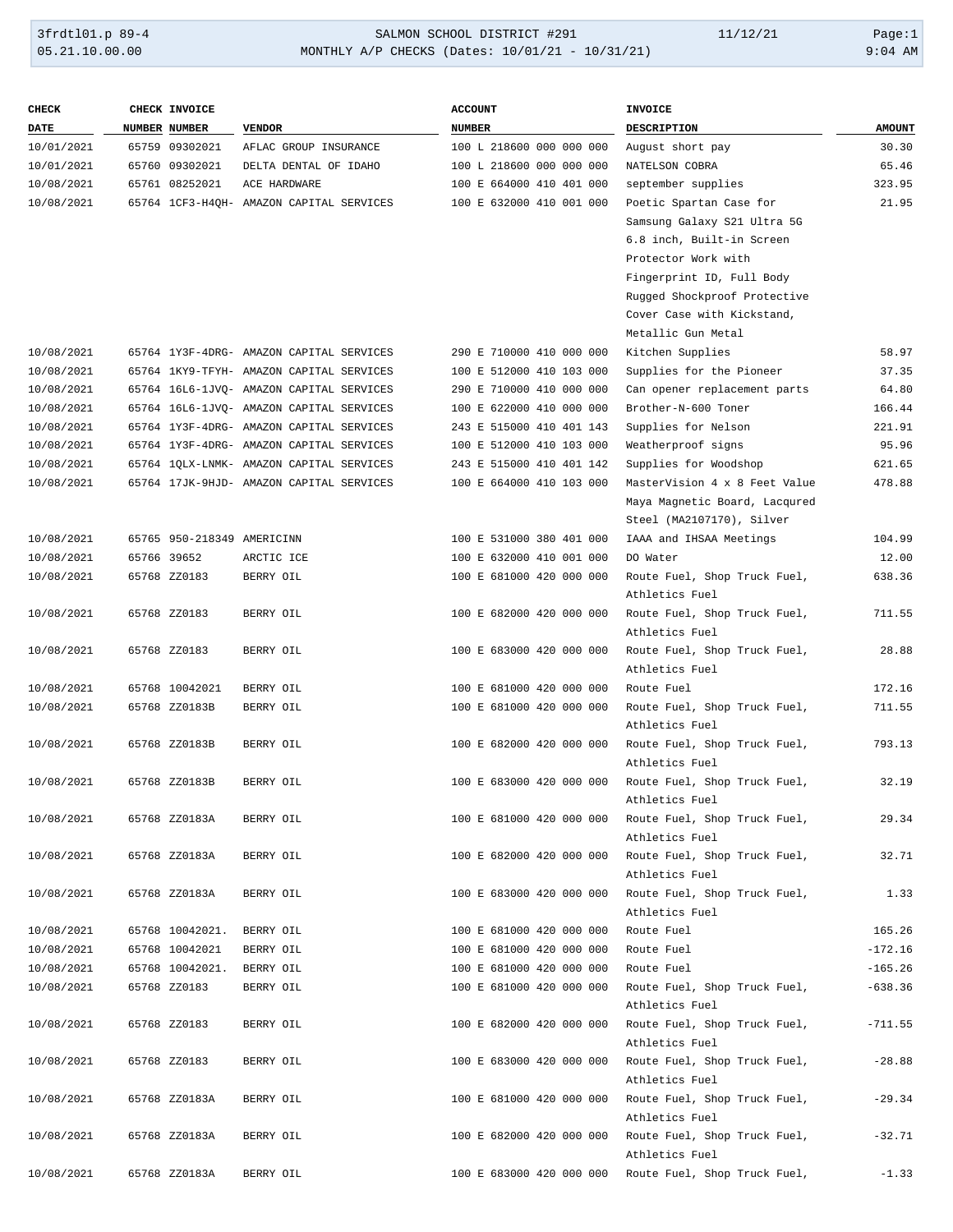## 3frdtl01.p 89-4 SALMON SCHOOL DISTRICT #291 11/12/21 Page:1 05.21.10.00.00 MONTHLY A/P CHECKS (Dates: 10/01/21 - 10/31/21) 9:04 AM

| <b>CHECK</b> | CHECK INVOICE              |                                          | <b>ACCOUNT</b>           | INVOICE                                        |               |
|--------------|----------------------------|------------------------------------------|--------------------------|------------------------------------------------|---------------|
| DATE         | NUMBER NUMBER              | <b>VENDOR</b>                            | <b>NUMBER</b>            | <b>DESCRIPTION</b>                             | <b>AMOUNT</b> |
| 10/01/2021   | 65759 09302021             | AFLAC GROUP INSURANCE                    | 100 L 218600 000 000 000 | August short pay                               | 30.30         |
| 10/01/2021   | 65760 09302021             | DELTA DENTAL OF IDAHO                    | 100 L 218600 000 000 000 | NATELSON COBRA                                 | 65.46         |
| 10/08/2021   | 65761 08252021             | ACE HARDWARE                             | 100 E 664000 410 401 000 | september supplies                             | 323.95        |
| 10/08/2021   |                            | 65764 1CF3-H4QH- AMAZON CAPITAL SERVICES | 100 E 632000 410 001 000 | Poetic Spartan Case for                        | 21.95         |
|              |                            |                                          |                          | Samsung Galaxy S21 Ultra 5G                    |               |
|              |                            |                                          |                          | 6.8 inch, Built-in Screen                      |               |
|              |                            |                                          |                          | Protector Work with                            |               |
|              |                            |                                          |                          | Fingerprint ID, Full Body                      |               |
|              |                            |                                          |                          | Rugged Shockproof Protective                   |               |
|              |                            |                                          |                          | Cover Case with Kickstand,                     |               |
|              |                            |                                          |                          | Metallic Gun Metal                             |               |
| 10/08/2021   |                            | 65764 1Y3F-4DRG- AMAZON CAPITAL SERVICES | 290 E 710000 410 000 000 | Kitchen Supplies                               | 58.97         |
| 10/08/2021   |                            | 65764 1KY9-TFYH- AMAZON CAPITAL SERVICES | 100 E 512000 410 103 000 | Supplies for the Pioneer                       | 37.35         |
| 10/08/2021   |                            | 65764 16L6-1JVQ- AMAZON CAPITAL SERVICES | 290 E 710000 410 000 000 | Can opener replacement parts                   | 64.80         |
| 10/08/2021   |                            | 65764 16L6-1JVO- AMAZON CAPITAL SERVICES | 100 E 622000 410 000 000 | Brother-N-600 Toner                            | 166.44        |
| 10/08/2021   |                            | 65764 1Y3F-4DRG- AMAZON CAPITAL SERVICES | 243 E 515000 410 401 143 | Supplies for Nelson                            | 221.91        |
| 10/08/2021   |                            | 65764 1Y3F-4DRG- AMAZON CAPITAL SERVICES | 100 E 512000 410 103 000 | Weatherproof signs                             | 95.96         |
| 10/08/2021   |                            | 65764 1QLX-LNMK- AMAZON CAPITAL SERVICES | 243 E 515000 410 401 142 | Supplies for Woodshop                          | 621.65        |
| 10/08/2021   |                            | 65764 17JK-9HJD- AMAZON CAPITAL SERVICES | 100 E 664000 410 103 000 | MasterVision 4 x 8 Feet Value                  | 478.88        |
|              |                            |                                          |                          | Maya Magnetic Board, Lacqured                  |               |
|              |                            |                                          |                          | Steel (MA2107170), Silver                      |               |
| 10/08/2021   | 65765 950-218349 AMERICINN |                                          | 100 E 531000 380 401 000 | IAAA and IHSAA Meetings                        | 104.99        |
| 10/08/2021   | 65766 39652                | ARCTIC ICE                               | 100 E 632000 410 001 000 | DO Water                                       | 12.00         |
| 10/08/2021   | 65768 ZZ0183               | BERRY OIL                                | 100 E 681000 420 000 000 | Route Fuel, Shop Truck Fuel,                   | 638.36        |
|              |                            |                                          |                          | Athletics Fuel                                 |               |
| 10/08/2021   | 65768 ZZ0183               | BERRY OIL                                | 100 E 682000 420 000 000 | Route Fuel, Shop Truck Fuel,                   | 711.55        |
|              |                            |                                          |                          | Athletics Fuel                                 |               |
| 10/08/2021   | 65768 ZZ0183               | BERRY OIL                                | 100 E 683000 420 000 000 | Route Fuel, Shop Truck Fuel,                   | 28.88         |
|              |                            |                                          |                          | Athletics Fuel                                 |               |
| 10/08/2021   | 65768 10042021             | BERRY OIL                                | 100 E 681000 420 000 000 | Route Fuel                                     | 172.16        |
| 10/08/2021   | 65768 ZZ0183B              | BERRY OIL                                | 100 E 681000 420 000 000 | Route Fuel, Shop Truck Fuel,                   | 711.55        |
|              |                            |                                          |                          | Athletics Fuel                                 |               |
| 10/08/2021   | 65768 ZZ0183B              | BERRY OIL                                | 100 E 682000 420 000 000 | Route Fuel, Shop Truck Fuel,                   | 793.13        |
|              |                            |                                          |                          | Athletics Fuel                                 |               |
| 10/08/2021   | 65768 ZZ0183B              | BERRY OIL                                | 100 E 683000 420 000 000 | Route Fuel, Shop Truck Fuel,                   | 32.19         |
|              |                            |                                          |                          | Athletics Fuel                                 |               |
| 10/08/2021   | 65768 ZZ0183A              | BERRY OIL                                | 100 E 681000 420 000 000 | Route Fuel, Shop Truck Fuel,                   | 29.34         |
|              |                            |                                          | 100 E 682000 420 000 000 | Athletics Fuel                                 |               |
| 10/08/2021   | 65768 ZZ0183A              | BERRY OIL                                |                          | Route Fuel, Shop Truck Fuel,                   | 32.71         |
| 10/08/2021   | 65768 ZZ0183A              | BERRY OIL                                | 100 E 683000 420 000 000 | Athletics Fuel<br>Route Fuel, Shop Truck Fuel, | 1.33          |
|              |                            |                                          |                          | Athletics Fuel                                 |               |
| 10/08/2021   | 65768 10042021.            | BERRY OIL                                | 100 E 681000 420 000 000 | Route Fuel                                     | 165.26        |
| 10/08/2021   | 65768 10042021             | BERRY OIL                                | 100 E 681000 420 000 000 | Route Fuel                                     | $-172.16$     |
| 10/08/2021   | 65768 10042021.            | BERRY OIL                                | 100 E 681000 420 000 000 | Route Fuel                                     | $-165.26$     |
| 10/08/2021   | 65768 ZZ0183               | BERRY OIL                                | 100 E 681000 420 000 000 | Route Fuel, Shop Truck Fuel,                   | $-638.36$     |
|              |                            |                                          |                          | Athletics Fuel                                 |               |
| 10/08/2021   | 65768 ZZ0183               | BERRY OIL                                | 100 E 682000 420 000 000 | Route Fuel, Shop Truck Fuel,                   | $-711.55$     |
|              |                            |                                          |                          | Athletics Fuel                                 |               |
| 10/08/2021   | 65768 ZZ0183               | BERRY OIL                                | 100 E 683000 420 000 000 | Route Fuel, Shop Truck Fuel,                   | $-28.88$      |
|              |                            |                                          |                          | Athletics Fuel                                 |               |
| 10/08/2021   | 65768 ZZ0183A              | BERRY OIL                                | 100 E 681000 420 000 000 | Route Fuel, Shop Truck Fuel,                   | $-29.34$      |
|              |                            |                                          |                          | Athletics Fuel                                 |               |
| 10/08/2021   | 65768 ZZ0183A              | BERRY OIL                                | 100 E 682000 420 000 000 | Route Fuel, Shop Truck Fuel,                   | $-32.71$      |
|              |                            |                                          |                          | Athletics Fuel                                 |               |
| 10/08/2021   | 65768 ZZ0183A              | BERRY OIL                                | 100 E 683000 420 000 000 | Route Fuel, Shop Truck Fuel,                   | $-1.33$       |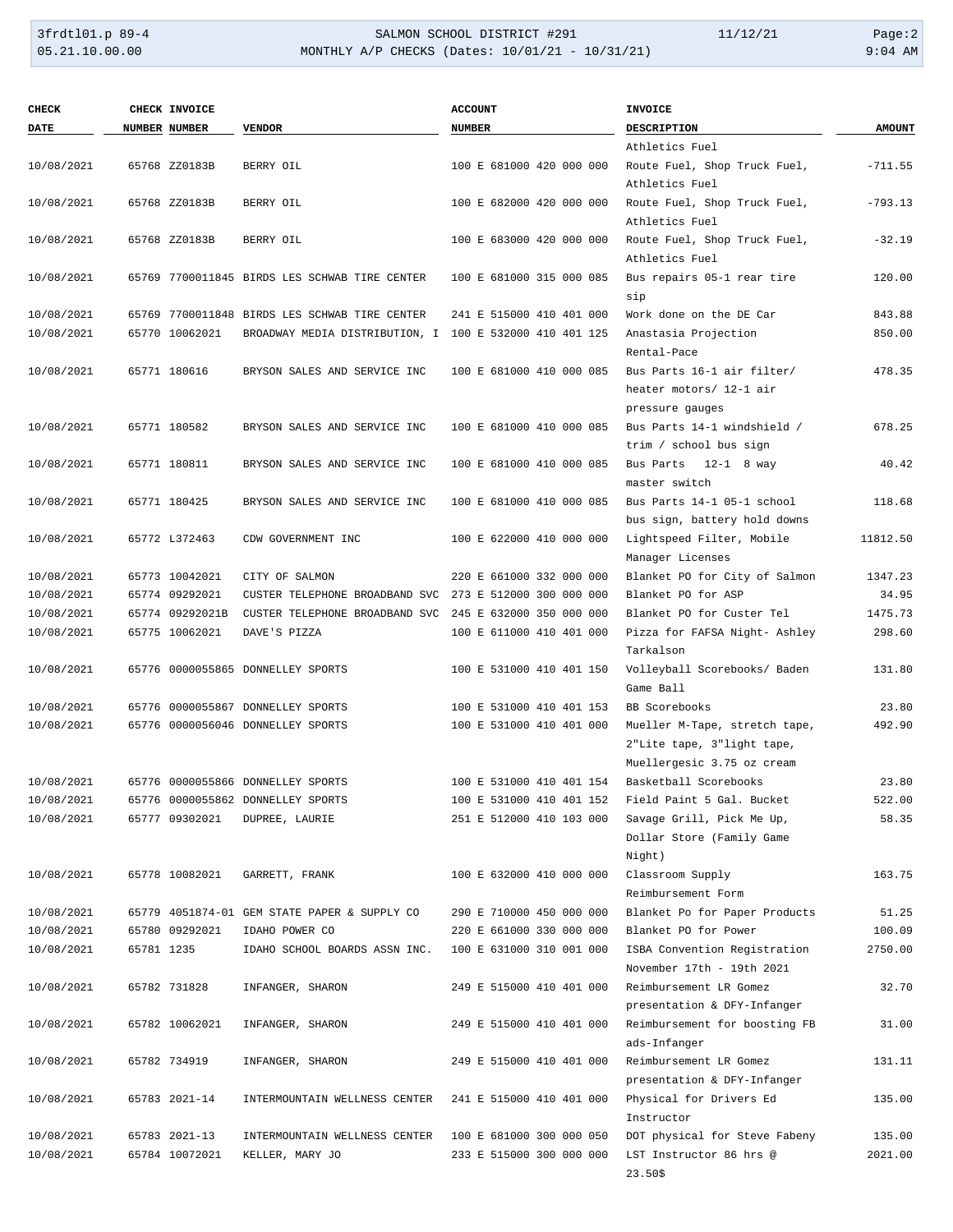## 3frdtl01.p 89-4 SALMON SCHOOL DISTRICT #291 11/12/21 Page:2 05.21.10.00.00 MONTHLY A/P CHECKS (Dates: 10/01/21 - 10/31/21) 9:04 AM

| <b>CHECK</b>             |            | CHECK INVOICE                     |                                                                                                                    | <b>ACCOUNT</b>           | <b>INVOICE</b>                                      |                  |
|--------------------------|------------|-----------------------------------|--------------------------------------------------------------------------------------------------------------------|--------------------------|-----------------------------------------------------|------------------|
| <b>DATE</b>              |            | NUMBER NUMBER                     | <b>VENDOR</b>                                                                                                      | <b>NUMBER</b>            | <b>DESCRIPTION</b>                                  | <b>AMOUNT</b>    |
|                          |            |                                   |                                                                                                                    |                          | Athletics Fuel                                      |                  |
| 10/08/2021               |            | 65768 ZZ0183B                     | BERRY OIL                                                                                                          | 100 E 681000 420 000 000 | Route Fuel, Shop Truck Fuel,                        | $-711.55$        |
|                          |            |                                   |                                                                                                                    |                          | Athletics Fuel                                      |                  |
| 10/08/2021               |            | 65768 ZZ0183B                     | BERRY OIL                                                                                                          | 100 E 682000 420 000 000 | Route Fuel, Shop Truck Fuel,                        | $-793.13$        |
|                          |            |                                   |                                                                                                                    |                          | Athletics Fuel                                      |                  |
| 10/08/2021               |            | 65768 ZZ0183B                     | BERRY OIL                                                                                                          | 100 E 683000 420 000 000 | Route Fuel, Shop Truck Fuel,                        | $-32.19$         |
|                          |            |                                   |                                                                                                                    |                          | Athletics Fuel                                      |                  |
| 10/08/2021               |            |                                   | 65769 7700011845 BIRDS LES SCHWAB TIRE CENTER                                                                      | 100 E 681000 315 000 085 | Bus repairs 05-1 rear tire                          | 120.00           |
|                          |            |                                   |                                                                                                                    |                          | sip                                                 |                  |
| 10/08/2021               |            |                                   | 65769 7700011848 BIRDS LES SCHWAB TIRE CENTER                                                                      | 241 E 515000 410 401 000 | Work done on the DE Car                             | 843.88           |
| 10/08/2021               |            | 65770 10062021                    | BROADWAY MEDIA DISTRIBUTION, I 100 E 532000 410 401 125                                                            |                          | Anastasia Projection                                | 850.00           |
|                          |            |                                   |                                                                                                                    |                          | Rental-Pace                                         |                  |
| 10/08/2021               |            | 65771 180616                      | BRYSON SALES AND SERVICE INC                                                                                       | 100 E 681000 410 000 085 | Bus Parts 16-1 air filter/                          | 478.35           |
|                          |            |                                   |                                                                                                                    |                          | heater motors/ 12-1 air                             |                  |
|                          |            |                                   |                                                                                                                    |                          | pressure gauges                                     |                  |
| 10/08/2021               |            | 65771 180582                      | BRYSON SALES AND SERVICE INC                                                                                       | 100 E 681000 410 000 085 | Bus Parts 14-1 windshield /                         | 678.25           |
|                          |            |                                   |                                                                                                                    |                          | trim / school bus sign                              |                  |
| 10/08/2021               |            | 65771 180811                      | BRYSON SALES AND SERVICE INC                                                                                       | 100 E 681000 410 000 085 | Bus Parts<br>$12 - 1$ 8 way                         | 40.42            |
|                          |            |                                   |                                                                                                                    |                          | master switch                                       |                  |
| 10/08/2021               |            | 65771 180425                      | BRYSON SALES AND SERVICE INC                                                                                       | 100 E 681000 410 000 085 | Bus Parts 14-1 05-1 school                          | 118.68           |
|                          |            |                                   |                                                                                                                    |                          | bus sign, battery hold downs                        |                  |
| 10/08/2021               |            | 65772 L372463                     | CDW GOVERNMENT INC                                                                                                 | 100 E 622000 410 000 000 | Lightspeed Filter, Mobile                           | 11812.50         |
|                          |            |                                   |                                                                                                                    |                          | Manager Licenses                                    |                  |
| 10/08/2021               |            | 65773 10042021                    | CITY OF SALMON                                                                                                     | 220 E 661000 332 000 000 | Blanket PO for City of Salmon<br>Blanket PO for ASP | 1347.23<br>34.95 |
| 10/08/2021<br>10/08/2021 |            | 65774 09292021<br>65774 09292021B | CUSTER TELEPHONE BROADBAND SVC 273 E 512000 300 000 000<br>CUSTER TELEPHONE BROADBAND SVC 245 E 632000 350 000 000 |                          | Blanket PO for Custer Tel                           | 1475.73          |
| 10/08/2021               |            | 65775 10062021                    | DAVE'S PIZZA                                                                                                       | 100 E 611000 410 401 000 | Pizza for FAFSA Night- Ashley                       | 298.60           |
|                          |            |                                   |                                                                                                                    |                          | Tarkalson                                           |                  |
| 10/08/2021               |            |                                   | 65776 0000055865 DONNELLEY SPORTS                                                                                  | 100 E 531000 410 401 150 | Volleyball Scorebooks/ Baden                        | 131.80           |
|                          |            |                                   |                                                                                                                    |                          | Game Ball                                           |                  |
| 10/08/2021               |            |                                   | 65776 0000055867 DONNELLEY SPORTS                                                                                  | 100 E 531000 410 401 153 | BB Scorebooks                                       | 23.80            |
| 10/08/2021               |            |                                   | 65776 0000056046 DONNELLEY SPORTS                                                                                  | 100 E 531000 410 401 000 | Mueller M-Tape, stretch tape,                       | 492.90           |
|                          |            |                                   |                                                                                                                    |                          | 2"Lite tape, 3"light tape,                          |                  |
|                          |            |                                   |                                                                                                                    |                          | Muellergesic 3.75 oz cream                          |                  |
| 10/08/2021               |            |                                   | 65776 0000055866 DONNELLEY SPORTS                                                                                  | 100 E 531000 410 401 154 | Basketball Scorebooks                               | 23.80            |
| 10/08/2021               |            |                                   | 65776 0000055862 DONNELLEY SPORTS                                                                                  | 100 E 531000 410 401 152 | Field Paint 5 Gal. Bucket                           | 522.00           |
| 10/08/2021               |            | 65777 09302021                    | DUPREE, LAURIE                                                                                                     | 251 E 512000 410 103 000 | Savage Grill, Pick Me Up,                           | 58.35            |
|                          |            |                                   |                                                                                                                    |                          | Dollar Store (Family Game                           |                  |
|                          |            |                                   |                                                                                                                    |                          | Night)                                              |                  |
| 10/08/2021               |            | 65778 10082021                    | GARRETT, FRANK                                                                                                     | 100 E 632000 410 000 000 | Classroom Supply                                    | 163.75           |
|                          |            |                                   |                                                                                                                    |                          | Reimbursement Form                                  |                  |
| 10/08/2021               |            |                                   | 65779 4051874-01 GEM STATE PAPER & SUPPLY CO                                                                       | 290 E 710000 450 000 000 | Blanket Po for Paper Products                       | 51.25            |
| 10/08/2021               |            | 65780 09292021                    | IDAHO POWER CO                                                                                                     | 220 E 661000 330 000 000 | Blanket PO for Power                                | 100.09           |
| 10/08/2021               | 65781 1235 |                                   | IDAHO SCHOOL BOARDS ASSN INC.                                                                                      | 100 E 631000 310 001 000 | ISBA Convention Registration                        | 2750.00          |
|                          |            |                                   |                                                                                                                    |                          | November 17th - 19th 2021                           |                  |
| 10/08/2021               |            | 65782 731828                      | INFANGER, SHARON                                                                                                   | 249 E 515000 410 401 000 | Reimbursement LR Gomez                              | 32.70            |
|                          |            |                                   |                                                                                                                    |                          | presentation & DFY-Infanger                         |                  |
| 10/08/2021               |            | 65782 10062021                    | INFANGER, SHARON                                                                                                   | 249 E 515000 410 401 000 | Reimbursement for boosting FB                       | 31.00            |
|                          |            |                                   |                                                                                                                    |                          | ads-Infanger                                        |                  |
| 10/08/2021               |            | 65782 734919                      | INFANGER, SHARON                                                                                                   | 249 E 515000 410 401 000 | Reimbursement LR Gomez                              | 131.11           |
|                          |            |                                   |                                                                                                                    |                          | presentation & DFY-Infanger                         |                  |
| 10/08/2021               |            | 65783 2021-14                     | INTERMOUNTAIN WELLNESS CENTER                                                                                      | 241 E 515000 410 401 000 | Physical for Drivers Ed                             | 135.00           |
|                          |            |                                   |                                                                                                                    |                          | Instructor                                          |                  |
| 10/08/2021               |            | 65783 2021-13                     | INTERMOUNTAIN WELLNESS CENTER                                                                                      | 100 E 681000 300 000 050 | DOT physical for Steve Fabeny                       | 135.00           |
| 10/08/2021               |            | 65784 10072021                    | KELLER, MARY JO                                                                                                    | 233 E 515000 300 000 000 | LST Instructor 86 hrs @                             | 2021.00          |
|                          |            |                                   |                                                                                                                    |                          | 23.50\$                                             |                  |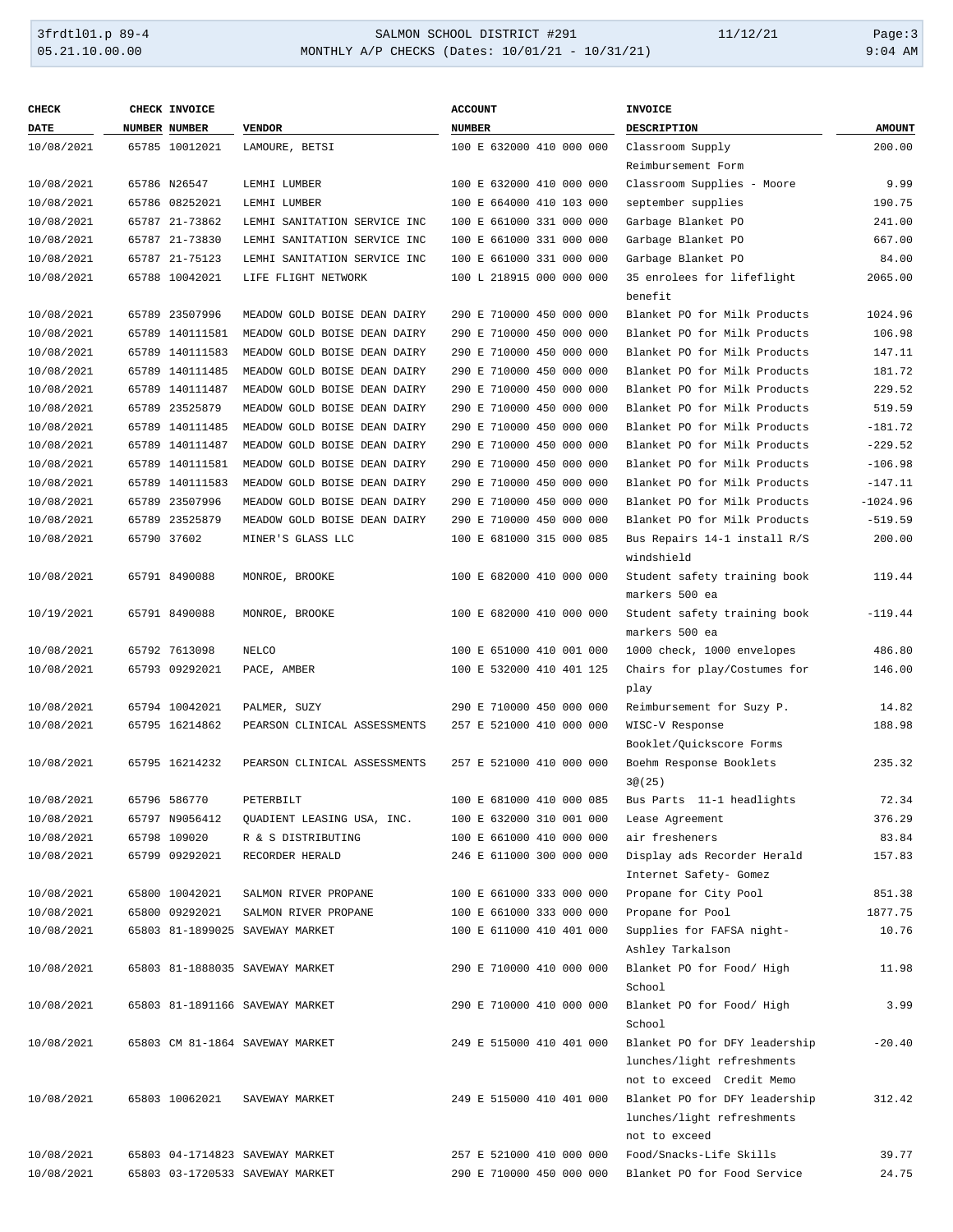## 3frdtl01.p 89-4 SALMON SCHOOL DISTRICT #291 11/12/21 Page:3 05.21.10.00.00 MONTHLY A/P CHECKS (Dates: 10/01/21 - 10/31/21) 9:04 AM

| <b>CHECK</b> | CHECK INVOICE   |                                 | <b>ACCOUNT</b>           | <b>INVOICE</b>                |               |
|--------------|-----------------|---------------------------------|--------------------------|-------------------------------|---------------|
| DATE         | NUMBER NUMBER   | <b>VENDOR</b>                   | <b>NUMBER</b>            | DESCRIPTION                   | <b>AMOUNT</b> |
| 10/08/2021   | 65785 10012021  | LAMOURE, BETSI                  | 100 E 632000 410 000 000 | Classroom Supply              | 200.00        |
|              |                 |                                 |                          | Reimbursement Form            |               |
| 10/08/2021   | 65786 N26547    | LEMHI LUMBER                    | 100 E 632000 410 000 000 | Classroom Supplies - Moore    | 9.99          |
| 10/08/2021   | 65786 08252021  | LEMHI LUMBER                    | 100 E 664000 410 103 000 | september supplies            | 190.75        |
| 10/08/2021   | 65787 21-73862  | LEMHI SANITATION SERVICE INC    | 100 E 661000 331 000 000 | Garbage Blanket PO            | 241.00        |
| 10/08/2021   | 65787 21-73830  | LEMHI SANITATION SERVICE INC    | 100 E 661000 331 000 000 | Garbage Blanket PO            | 667.00        |
| 10/08/2021   | 65787 21-75123  | LEMHI SANITATION SERVICE INC    | 100 E 661000 331 000 000 | Garbage Blanket PO            | 84.00         |
| 10/08/2021   | 65788 10042021  | LIFE FLIGHT NETWORK             | 100 L 218915 000 000 000 | 35 enrolees for lifeflight    | 2065.00       |
|              |                 |                                 |                          | benefit                       |               |
| 10/08/2021   | 65789 23507996  | MEADOW GOLD BOISE DEAN DAIRY    | 290 E 710000 450 000 000 | Blanket PO for Milk Products  | 1024.96       |
| 10/08/2021   | 65789 140111581 | MEADOW GOLD BOISE DEAN DAIRY    | 290 E 710000 450 000 000 | Blanket PO for Milk Products  | 106.98        |
|              |                 |                                 |                          |                               |               |
| 10/08/2021   | 65789 140111583 | MEADOW GOLD BOISE DEAN DAIRY    | 290 E 710000 450 000 000 | Blanket PO for Milk Products  | 147.11        |
| 10/08/2021   | 65789 140111485 | MEADOW GOLD BOISE DEAN DAIRY    | 290 E 710000 450 000 000 | Blanket PO for Milk Products  | 181.72        |
| 10/08/2021   | 65789 140111487 | MEADOW GOLD BOISE DEAN DAIRY    | 290 E 710000 450 000 000 | Blanket PO for Milk Products  | 229.52        |
| 10/08/2021   | 65789 23525879  | MEADOW GOLD BOISE DEAN DAIRY    | 290 E 710000 450 000 000 | Blanket PO for Milk Products  | 519.59        |
| 10/08/2021   | 65789 140111485 | MEADOW GOLD BOISE DEAN DAIRY    | 290 E 710000 450 000 000 | Blanket PO for Milk Products  | $-181.72$     |
| 10/08/2021   | 65789 140111487 | MEADOW GOLD BOISE DEAN DAIRY    | 290 E 710000 450 000 000 | Blanket PO for Milk Products  | $-229.52$     |
| 10/08/2021   | 65789 140111581 | MEADOW GOLD BOISE DEAN DAIRY    | 290 E 710000 450 000 000 | Blanket PO for Milk Products  | $-106.98$     |
| 10/08/2021   | 65789 140111583 | MEADOW GOLD BOISE DEAN DAIRY    | 290 E 710000 450 000 000 | Blanket PO for Milk Products  | $-147.11$     |
| 10/08/2021   | 65789 23507996  | MEADOW GOLD BOISE DEAN DAIRY    | 290 E 710000 450 000 000 | Blanket PO for Milk Products  | $-1024.96$    |
| 10/08/2021   | 65789 23525879  | MEADOW GOLD BOISE DEAN DAIRY    | 290 E 710000 450 000 000 | Blanket PO for Milk Products  | $-519.59$     |
| 10/08/2021   | 65790 37602     | MINER'S GLASS LLC               | 100 E 681000 315 000 085 | Bus Repairs 14-1 install R/S  | 200.00        |
|              |                 |                                 |                          | windshield                    |               |
| 10/08/2021   | 65791 8490088   | MONROE, BROOKE                  | 100 E 682000 410 000 000 | Student safety training book  | 119.44        |
|              |                 |                                 |                          | markers 500 ea                |               |
|              |                 |                                 |                          |                               |               |
| 10/19/2021   | 65791 8490088   | MONROE, BROOKE                  | 100 E 682000 410 000 000 | Student safety training book  | $-119.44$     |
|              |                 |                                 |                          | markers 500 ea                |               |
| 10/08/2021   | 65792 7613098   | NELCO                           | 100 E 651000 410 001 000 | 1000 check, 1000 envelopes    | 486.80        |
| 10/08/2021   | 65793 09292021  | PACE, AMBER                     | 100 E 532000 410 401 125 | Chairs for play/Costumes for  | 146.00        |
|              |                 |                                 |                          | play                          |               |
| 10/08/2021   | 65794 10042021  | PALMER, SUZY                    | 290 E 710000 450 000 000 | Reimbursement for Suzy P.     | 14.82         |
| 10/08/2021   | 65795 16214862  | PEARSON CLINICAL ASSESSMENTS    | 257 E 521000 410 000 000 | WISC-V Response               | 188.98        |
|              |                 |                                 |                          | Booklet/Quickscore Forms      |               |
| 10/08/2021   | 65795 16214232  | PEARSON CLINICAL ASSESSMENTS    | 257 E 521000 410 000 000 | Boehm Response Booklets       | 235.32        |
|              |                 |                                 |                          | 3@(25)                        |               |
| 10/08/2021   | 65796 586770    | PETERBILT                       | 100 E 681000 410 000 085 | Bus Parts 11-1 headlights     | 72.34         |
| 10/08/2021   | 65797 N9056412  | QUADIENT LEASING USA, INC.      | 100 E 632000 310 001 000 | Lease Agreement               | 376.29        |
| 10/08/2021   | 65798 109020    | R & S DISTRIBUTING              | 100 E 661000 410 000 000 | air fresheners                | 83.84         |
| 10/08/2021   | 65799 09292021  | RECORDER HERALD                 | 246 E 611000 300 000 000 | Display ads Recorder Herald   | 157.83        |
|              |                 |                                 |                          | Internet Safety- Gomez        |               |
| 10/08/2021   | 65800 10042021  | SALMON RIVER PROPANE            | 100 E 661000 333 000 000 | Propane for City Pool         | 851.38        |
| 10/08/2021   | 65800 09292021  | SALMON RIVER PROPANE            | 100 E 661000 333 000 000 | Propane for Pool              | 1877.75       |
| 10/08/2021   |                 | 65803 81-1899025 SAVEWAY MARKET | 100 E 611000 410 401 000 | Supplies for FAFSA night-     | 10.76         |
|              |                 |                                 |                          | Ashley Tarkalson              |               |
| 10/08/2021   |                 | 65803 81-1888035 SAVEWAY MARKET | 290 E 710000 410 000 000 | Blanket PO for Food/ High     | 11.98         |
|              |                 |                                 |                          | School                        |               |
|              |                 |                                 |                          |                               |               |
| 10/08/2021   |                 | 65803 81-1891166 SAVEWAY MARKET | 290 E 710000 410 000 000 | Blanket PO for Food/ High     | 3.99          |
|              |                 |                                 |                          | School                        |               |
| 10/08/2021   |                 | 65803 CM 81-1864 SAVEWAY MARKET | 249 E 515000 410 401 000 | Blanket PO for DFY leadership | $-20.40$      |
|              |                 |                                 |                          | lunches/light refreshments    |               |
|              |                 |                                 |                          | not to exceed Credit Memo     |               |
| 10/08/2021   | 65803 10062021  | SAVEWAY MARKET                  | 249 E 515000 410 401 000 | Blanket PO for DFY leadership | 312.42        |
|              |                 |                                 |                          | lunches/light refreshments    |               |
|              |                 |                                 |                          | not to exceed                 |               |
| 10/08/2021   |                 | 65803 04-1714823 SAVEWAY MARKET | 257 E 521000 410 000 000 | Food/Snacks-Life Skills       | 39.77         |
| 10/08/2021   |                 | 65803 03-1720533 SAVEWAY MARKET | 290 E 710000 450 000 000 | Blanket PO for Food Service   | 24.75         |
|              |                 |                                 |                          |                               |               |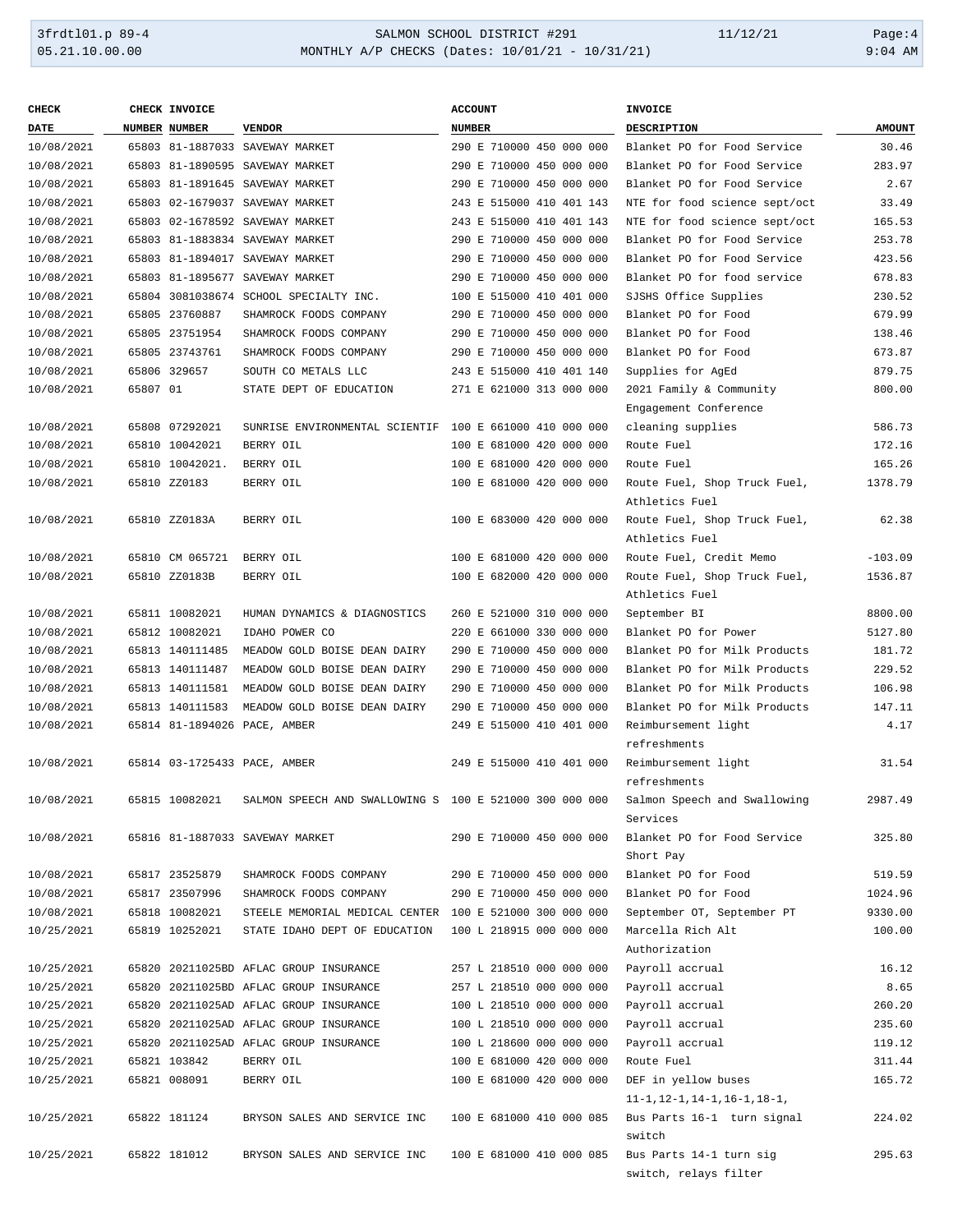## 3frdtl01.p 89-4 SALMON SCHOOL DISTRICT #291 11/12/21 Page:4 05.21.10.00.00 MONTHLY A/P CHECKS (Dates: 10/01/21 - 10/31/21) 9:04 AM

| <b>CHECK</b> |          | CHECK INVOICE   |                                                         | <b>ACCOUNT</b>           | <b>INVOICE</b>                            |               |
|--------------|----------|-----------------|---------------------------------------------------------|--------------------------|-------------------------------------------|---------------|
| DATE         |          | NUMBER NUMBER   | <b>VENDOR</b>                                           | <b>NUMBER</b>            | <b>DESCRIPTION</b>                        | <b>AMOUNT</b> |
| 10/08/2021   |          |                 | 65803 81-1887033 SAVEWAY MARKET                         | 290 E 710000 450 000 000 | Blanket PO for Food Service               | 30.46         |
| 10/08/2021   |          |                 | 65803 81-1890595 SAVEWAY MARKET                         | 290 E 710000 450 000 000 | Blanket PO for Food Service               | 283.97        |
| 10/08/2021   |          |                 | 65803 81-1891645 SAVEWAY MARKET                         | 290 E 710000 450 000 000 | Blanket PO for Food Service               | 2.67          |
| 10/08/2021   |          |                 | 65803 02-1679037 SAVEWAY MARKET                         | 243 E 515000 410 401 143 | NTE for food science sept/oct             | 33.49         |
| 10/08/2021   |          |                 | 65803 02-1678592 SAVEWAY MARKET                         | 243 E 515000 410 401 143 | NTE for food science sept/oct             | 165.53        |
| 10/08/2021   |          |                 | 65803 81-1883834 SAVEWAY MARKET                         | 290 E 710000 450 000 000 | Blanket PO for Food Service               | 253.78        |
| 10/08/2021   |          |                 | 65803 81-1894017 SAVEWAY MARKET                         | 290 E 710000 450 000 000 | Blanket PO for Food Service               | 423.56        |
| 10/08/2021   |          |                 | 65803 81-1895677 SAVEWAY MARKET                         | 290 E 710000 450 000 000 | Blanket PO for food service               | 678.83        |
| 10/08/2021   |          |                 | 65804 3081038674 SCHOOL SPECIALTY INC.                  | 100 E 515000 410 401 000 | SJSHS Office Supplies                     | 230.52        |
| 10/08/2021   |          | 65805 23760887  | SHAMROCK FOODS COMPANY                                  | 290 E 710000 450 000 000 | Blanket PO for Food                       | 679.99        |
| 10/08/2021   |          | 65805 23751954  | SHAMROCK FOODS COMPANY                                  | 290 E 710000 450 000 000 | Blanket PO for Food                       | 138.46        |
| 10/08/2021   |          | 65805 23743761  | SHAMROCK FOODS COMPANY                                  | 290 E 710000 450 000 000 | Blanket PO for Food                       | 673.87        |
| 10/08/2021   |          | 65806 329657    | SOUTH CO METALS LLC                                     | 243 E 515000 410 401 140 | Supplies for AgEd                         | 879.75        |
| 10/08/2021   | 65807 01 |                 | STATE DEPT OF EDUCATION                                 | 271 E 621000 313 000 000 | 2021 Family & Community                   | 800.00        |
|              |          |                 |                                                         |                          | Engagement Conference                     |               |
| 10/08/2021   |          | 65808 07292021  | SUNRISE ENVIRONMENTAL SCIENTIF 100 E 661000 410 000 000 |                          | cleaning supplies                         | 586.73        |
| 10/08/2021   |          | 65810 10042021  | BERRY OIL                                               | 100 E 681000 420 000 000 | Route Fuel                                | 172.16        |
| 10/08/2021   |          | 65810 10042021. | BERRY OIL                                               | 100 E 681000 420 000 000 | Route Fuel                                | 165.26        |
| 10/08/2021   |          | 65810 ZZ0183    | BERRY OIL                                               | 100 E 681000 420 000 000 | Route Fuel, Shop Truck Fuel,              | 1378.79       |
|              |          |                 |                                                         |                          | Athletics Fuel                            |               |
| 10/08/2021   |          | 65810 ZZ0183A   | BERRY OIL                                               | 100 E 683000 420 000 000 | Route Fuel, Shop Truck Fuel,              | 62.38         |
|              |          |                 |                                                         |                          | Athletics Fuel                            |               |
| 10/08/2021   |          | 65810 CM 065721 | BERRY OIL                                               | 100 E 681000 420 000 000 | Route Fuel, Credit Memo                   | $-103.09$     |
| 10/08/2021   |          | 65810 ZZ0183B   | BERRY OIL                                               | 100 E 682000 420 000 000 | Route Fuel, Shop Truck Fuel,              | 1536.87       |
|              |          |                 |                                                         |                          | Athletics Fuel                            |               |
| 10/08/2021   |          | 65811 10082021  | HUMAN DYNAMICS & DIAGNOSTICS                            | 260 E 521000 310 000 000 | September BI                              | 8800.00       |
| 10/08/2021   |          | 65812 10082021  | IDAHO POWER CO                                          | 220 E 661000 330 000 000 | Blanket PO for Power                      | 5127.80       |
| 10/08/2021   |          | 65813 140111485 | MEADOW GOLD BOISE DEAN DAIRY                            | 290 E 710000 450 000 000 | Blanket PO for Milk Products              | 181.72        |
| 10/08/2021   |          | 65813 140111487 | MEADOW GOLD BOISE DEAN DAIRY                            | 290 E 710000 450 000 000 | Blanket PO for Milk Products              | 229.52        |
| 10/08/2021   |          | 65813 140111581 | MEADOW GOLD BOISE DEAN DAIRY                            | 290 E 710000 450 000 000 | Blanket PO for Milk Products              | 106.98        |
| 10/08/2021   |          | 65813 140111583 | MEADOW GOLD BOISE DEAN DAIRY                            | 290 E 710000 450 000 000 | Blanket PO for Milk Products              | 147.11        |
| 10/08/2021   |          |                 | 65814 81-1894026 PACE, AMBER                            | 249 E 515000 410 401 000 | Reimbursement light                       | 4.17          |
|              |          |                 |                                                         |                          | refreshments                              |               |
| 10/08/2021   |          |                 | 65814 03-1725433 PACE, AMBER                            | 249 E 515000 410 401 000 | Reimbursement light                       | 31.54         |
|              |          |                 |                                                         |                          | refreshments                              |               |
| 10/08/2021   |          | 65815 10082021  | SALMON SPEECH AND SWALLOWING S 100 E 521000 300 000 000 |                          | Salmon Speech and Swallowing              | 2987.49       |
|              |          |                 |                                                         |                          | Services                                  |               |
| 10/08/2021   |          |                 | 65816 81-1887033 SAVEWAY MARKET                         | 290 E 710000 450 000 000 | Blanket PO for Food Service               | 325.80        |
|              |          |                 |                                                         |                          | Short Pay                                 |               |
| 10/08/2021   |          | 65817 23525879  | SHAMROCK FOODS COMPANY                                  | 290 E 710000 450 000 000 | Blanket PO for Food                       | 519.59        |
| 10/08/2021   |          | 65817 23507996  | SHAMROCK FOODS COMPANY                                  | 290 E 710000 450 000 000 | Blanket PO for Food                       | 1024.96       |
| 10/08/2021   |          | 65818 10082021  | STEELE MEMORIAL MEDICAL CENTER 100 E 521000 300 000 000 |                          | September OT, September PT                | 9330.00       |
| 10/25/2021   |          | 65819 10252021  | STATE IDAHO DEPT OF EDUCATION                           | 100 L 218915 000 000 000 | Marcella Rich Alt                         | 100.00        |
|              |          |                 |                                                         |                          | Authorization                             |               |
| 10/25/2021   |          |                 | 65820 20211025BD AFLAC GROUP INSURANCE                  | 257 L 218510 000 000 000 | Payroll accrual                           | 16.12         |
| 10/25/2021   |          |                 | 65820 20211025BD AFLAC GROUP INSURANCE                  | 257 L 218510 000 000 000 | Payroll accrual                           | 8.65          |
| 10/25/2021   |          |                 | 65820 20211025AD AFLAC GROUP INSURANCE                  | 100 L 218510 000 000 000 | Payroll accrual                           | 260.20        |
| 10/25/2021   |          |                 | 65820 20211025AD AFLAC GROUP INSURANCE                  | 100 L 218510 000 000 000 | Payroll accrual                           | 235.60        |
| 10/25/2021   |          |                 | 65820 20211025AD AFLAC GROUP INSURANCE                  | 100 L 218600 000 000 000 | Payroll accrual                           | 119.12        |
| 10/25/2021   |          | 65821 103842    | BERRY OIL                                               | 100 E 681000 420 000 000 | Route Fuel                                | 311.44        |
| 10/25/2021   |          | 65821 008091    | BERRY OIL                                               | 100 E 681000 420 000 000 | DEF in yellow buses                       | 165.72        |
|              |          |                 |                                                         |                          | $11 - 1, 12 - 1, 14 - 1, 16 - 1, 18 - 1,$ |               |
| 10/25/2021   |          | 65822 181124    | BRYSON SALES AND SERVICE INC                            | 100 E 681000 410 000 085 | Bus Parts 16-1 turn signal                | 224.02        |
|              |          |                 |                                                         |                          | switch                                    |               |
| 10/25/2021   |          | 65822 181012    | BRYSON SALES AND SERVICE INC                            | 100 E 681000 410 000 085 | Bus Parts 14-1 turn sig                   | 295.63        |
|              |          |                 |                                                         |                          | switch, relays filter                     |               |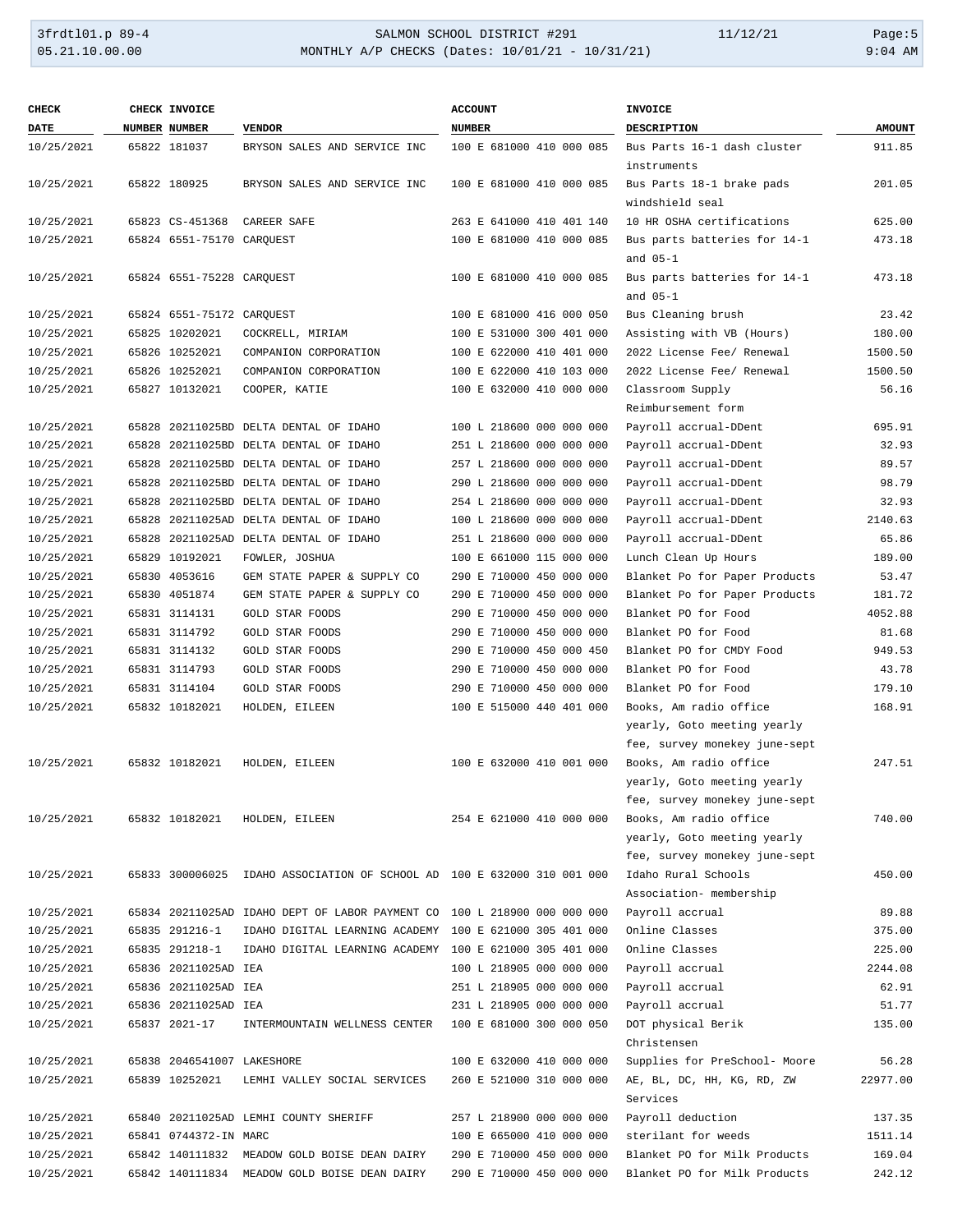3frdtl01.p 89-4 SALMON SCHOOL DISTRICT #291 11/12/21 Page:5 05.21.10.00.00 MONTHLY A/P CHECKS (Dates: 10/01/21 - 10/31/21) 9:04 AM

| <b>CHECK</b> |       | CHECK INVOICE              |                                                         | <b>ACCOUNT</b>           | <b>INVOICE</b>                                               |               |
|--------------|-------|----------------------------|---------------------------------------------------------|--------------------------|--------------------------------------------------------------|---------------|
| <b>DATE</b>  |       | NUMBER NUMBER              | <b>VENDOR</b>                                           | <b>NUMBER</b>            | <b>DESCRIPTION</b>                                           | <b>AMOUNT</b> |
| 10/25/2021   |       | 65822 181037               | BRYSON SALES AND SERVICE INC                            | 100 E 681000 410 000 085 | Bus Parts 16-1 dash cluster<br>instruments                   | 911.85        |
| 10/25/2021   |       | 65822 180925               | BRYSON SALES AND SERVICE INC                            | 100 E 681000 410 000 085 | Bus Parts 18-1 brake pads<br>windshield seal                 | 201.05        |
| 10/25/2021   |       | 65823 CS-451368            | CAREER SAFE                                             | 263 E 641000 410 401 140 | 10 HR OSHA certifications                                    | 625.00        |
| 10/25/2021   |       | 65824 6551-75170 CARQUEST  |                                                         | 100 E 681000 410 000 085 | Bus parts batteries for 14-1<br>and $05-1$                   | 473.18        |
| 10/25/2021   |       | 65824 6551-75228 CAROUEST  |                                                         | 100 E 681000 410 000 085 | Bus parts batteries for 14-1<br>and $05-1$                   | 473.18        |
| 10/25/2021   |       | 65824 6551-75172 CARQUEST  |                                                         | 100 E 681000 416 000 050 | Bus Cleaning brush                                           | 23.42         |
| 10/25/2021   |       | 65825 10202021             | COCKRELL, MIRIAM                                        | 100 E 531000 300 401 000 | Assisting with VB (Hours)                                    | 180.00        |
| 10/25/2021   |       | 65826 10252021             | COMPANION CORPORATION                                   | 100 E 622000 410 401 000 | 2022 License Fee/ Renewal                                    | 1500.50       |
| 10/25/2021   |       | 65826 10252021             | COMPANION CORPORATION                                   | 100 E 622000 410 103 000 | 2022 License Fee/ Renewal                                    | 1500.50       |
| 10/25/2021   |       | 65827 10132021             | COOPER, KATIE                                           | 100 E 632000 410 000 000 | Classroom Supply<br>Reimbursement form                       | 56.16         |
| 10/25/2021   | 65828 |                            | 20211025BD DELTA DENTAL OF IDAHO                        | 100 L 218600 000 000 000 | Payroll accrual-DDent                                        | 695.91        |
| 10/25/2021   | 65828 |                            | 20211025BD DELTA DENTAL OF IDAHO                        | 251 L 218600 000 000 000 | Payroll accrual-DDent                                        | 32.93         |
| 10/25/2021   | 65828 |                            | 20211025BD DELTA DENTAL OF IDAHO                        | 257 L 218600 000 000 000 | Payroll accrual-DDent                                        | 89.57         |
| 10/25/2021   | 65828 |                            | 20211025BD DELTA DENTAL OF IDAHO                        | 290 L 218600 000 000 000 | Payroll accrual-DDent                                        | 98.79         |
| 10/25/2021   | 65828 |                            | 20211025BD DELTA DENTAL OF IDAHO                        | 254 L 218600 000 000 000 | Payroll accrual-DDent                                        | 32.93         |
| 10/25/2021   | 65828 |                            | 20211025AD DELTA DENTAL OF IDAHO                        | 100 L 218600 000 000 000 | Payroll accrual-DDent                                        | 2140.63       |
| 10/25/2021   | 65828 |                            | 20211025AD DELTA DENTAL OF IDAHO                        | 251 L 218600 000 000 000 | Payroll accrual-DDent                                        | 65.86         |
| 10/25/2021   |       | 65829 10192021             | FOWLER, JOSHUA                                          | 100 E 661000 115 000 000 | Lunch Clean Up Hours                                         | 189.00        |
| 10/25/2021   |       | 65830 4053616              | GEM STATE PAPER & SUPPLY CO                             | 290 E 710000 450 000 000 | Blanket Po for Paper Products                                | 53.47         |
| 10/25/2021   |       | 65830 4051874              | GEM STATE PAPER & SUPPLY CO                             | 290 E 710000 450 000 000 | Blanket Po for Paper Products                                | 181.72        |
| 10/25/2021   |       | 65831 3114131              | <b>GOLD STAR FOODS</b>                                  | 290 E 710000 450 000 000 | Blanket PO for Food                                          | 4052.88       |
| 10/25/2021   |       | 65831 3114792              | <b>GOLD STAR FOODS</b>                                  | 290 E 710000 450 000 000 | Blanket PO for Food                                          | 81.68         |
| 10/25/2021   |       | 65831 3114132              | <b>GOLD STAR FOODS</b>                                  | 290 E 710000 450 000 450 | Blanket PO for CMDY Food                                     | 949.53        |
| 10/25/2021   |       | 65831 3114793              | <b>GOLD STAR FOODS</b>                                  | 290 E 710000 450 000 000 | Blanket PO for Food                                          | 43.78         |
| 10/25/2021   |       | 65831 3114104              | <b>GOLD STAR FOODS</b>                                  | 290 E 710000 450 000 000 | Blanket PO for Food                                          | 179.10        |
| 10/25/2021   |       | 65832 10182021             | HOLDEN, EILEEN                                          | 100 E 515000 440 401 000 | Books, Am radio office                                       | 168.91        |
|              |       |                            |                                                         |                          | yearly, Goto meeting yearly<br>fee, survey monekey june-sept |               |
| 10/25/2021   |       | 65832 10182021             | HOLDEN, EILEEN                                          | 100 E 632000 410 001 000 | Books, Am radio office                                       | 247.51        |
|              |       |                            |                                                         |                          |                                                              |               |
|              |       |                            |                                                         |                          | yearly, Goto meeting yearly<br>fee, survey monekey june-sept |               |
| 10/25/2021   |       | 65832 10182021             | HOLDEN, EILEEN                                          | 254 E 621000 410 000 000 | Books, Am radio office                                       | 740.00        |
|              |       |                            |                                                         |                          | yearly, Goto meeting yearly                                  |               |
|              |       |                            |                                                         |                          | fee, survey monekey june-sept                                |               |
| 10/25/2021   |       | 65833 300006025            | IDAHO ASSOCIATION OF SCHOOL AD 100 E 632000 310 001 000 |                          | Idaho Rural Schools                                          | 450.00        |
|              |       |                            |                                                         |                          | Association- membership                                      |               |
| 10/25/2021   |       |                            | 65834 20211025AD IDAHO DEPT OF LABOR PAYMENT CO         | 100 L 218900 000 000 000 | Payroll accrual                                              | 89.88         |
| 10/25/2021   |       | 65835 291216-1             | IDAHO DIGITAL LEARNING ACADEMY                          | 100 E 621000 305 401 000 | Online Classes                                               | 375.00        |
| 10/25/2021   |       | 65835 291218-1             | IDAHO DIGITAL LEARNING ACADEMY 100 E 621000 305 401 000 |                          | Online Classes                                               | 225.00        |
| 10/25/2021   |       | 65836 20211025AD IEA       |                                                         | 100 L 218905 000 000 000 | Payroll accrual                                              | 2244.08       |
| 10/25/2021   |       | 65836 20211025AD IEA       |                                                         | 251 L 218905 000 000 000 | Payroll accrual                                              | 62.91         |
| 10/25/2021   |       | 65836 20211025AD IEA       |                                                         | 231 L 218905 000 000 000 | Payroll accrual                                              | 51.77         |
| 10/25/2021   |       | 65837 2021-17              | INTERMOUNTAIN WELLNESS CENTER                           | 100 E 681000 300 000 050 | DOT physical Berik                                           | 135.00        |
|              |       |                            |                                                         |                          | Christensen                                                  |               |
| 10/25/2021   |       | 65838 2046541007 LAKESHORE |                                                         | 100 E 632000 410 000 000 | Supplies for PreSchool- Moore                                | 56.28         |
| 10/25/2021   |       | 65839 10252021             | LEMHI VALLEY SOCIAL SERVICES                            | 260 E 521000 310 000 000 | AE, BL, DC, HH, KG, RD, ZW                                   | 22977.00      |
|              |       |                            |                                                         |                          | Services                                                     |               |
| 10/25/2021   | 65840 |                            | 20211025AD LEMHI COUNTY SHERIFF                         | 257 L 218900 000 000 000 | Payroll deduction                                            | 137.35        |
| 10/25/2021   |       | 65841 0744372-IN MARC      |                                                         | 100 E 665000 410 000 000 | sterilant for weeds                                          | 1511.14       |
| 10/25/2021   |       |                            | 65842 140111832 MEADOW GOLD BOISE DEAN DAIRY            | 290 E 710000 450 000 000 | Blanket PO for Milk Products                                 | 169.04        |
| 10/25/2021   |       |                            | 65842 140111834 MEADOW GOLD BOISE DEAN DAIRY            | 290 E 710000 450 000 000 | Blanket PO for Milk Products                                 | 242.12        |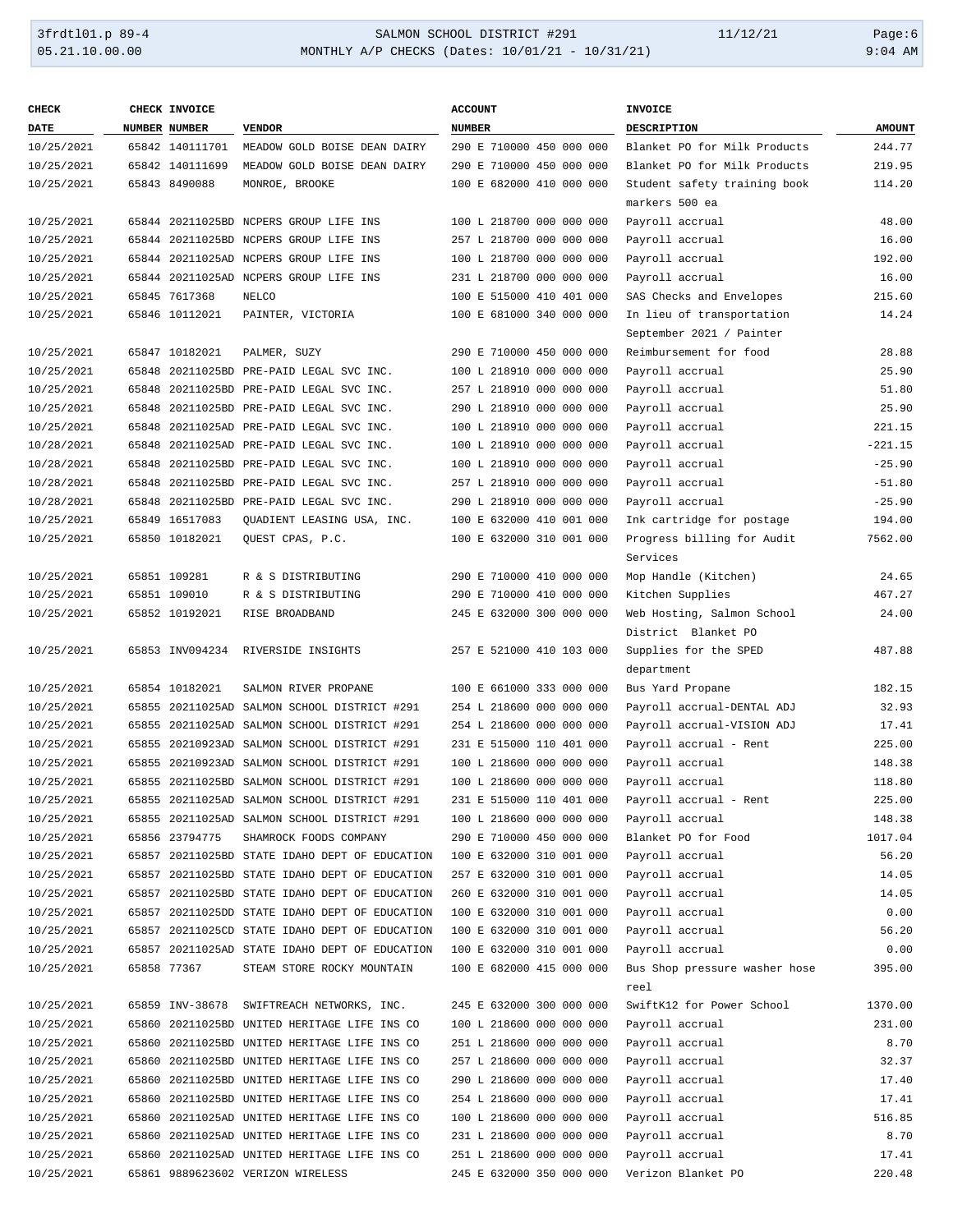## 3frdtl01.p 89-4 SALMON SCHOOL DISTRICT #291 11/12/21 Page:6 05.21.10.00.00 MONTHLY A/P CHECKS (Dates: 10/01/21 - 10/31/21) 9:04 AM

| <b>CHECK</b> | CHECK INVOICE   |                                                | <b>ACCOUNT</b>           | <b>INVOICE</b>                |               |
|--------------|-----------------|------------------------------------------------|--------------------------|-------------------------------|---------------|
| <b>DATE</b>  | NUMBER NUMBER   | <b>VENDOR</b>                                  | <b>NUMBER</b>            | <b>DESCRIPTION</b>            | <b>AMOUNT</b> |
| 10/25/2021   | 65842 140111701 | MEADOW GOLD BOISE DEAN DAIRY                   | 290 E 710000 450 000 000 | Blanket PO for Milk Products  | 244.77        |
| 10/25/2021   | 65842 140111699 | MEADOW GOLD BOISE DEAN DAIRY                   | 290 E 710000 450 000 000 | Blanket PO for Milk Products  | 219.95        |
| 10/25/2021   | 65843 8490088   | MONROE, BROOKE                                 | 100 E 682000 410 000 000 | Student safety training book  | 114.20        |
|              |                 |                                                |                          | markers 500 ea                |               |
| 10/25/2021   |                 | 65844 20211025BD NCPERS GROUP LIFE INS         | 100 L 218700 000 000 000 | Payroll accrual               | 48.00         |
| 10/25/2021   |                 | 65844 20211025BD NCPERS GROUP LIFE INS         | 257 L 218700 000 000 000 | Payroll accrual               | 16.00         |
| 10/25/2021   |                 | 65844 20211025AD NCPERS GROUP LIFE INS         | 100 L 218700 000 000 000 | Payroll accrual               | 192.00        |
| 10/25/2021   |                 | 65844 20211025AD NCPERS GROUP LIFE INS         | 231 L 218700 000 000 000 | Payroll accrual               | 16.00         |
| 10/25/2021   | 65845 7617368   | NELCO                                          | 100 E 515000 410 401 000 | SAS Checks and Envelopes      | 215.60        |
| 10/25/2021   | 65846 10112021  | PAINTER, VICTORIA                              | 100 E 681000 340 000 000 | In lieu of transportation     | 14.24         |
|              |                 |                                                |                          | September 2021 / Painter      |               |
| 10/25/2021   | 65847 10182021  | PALMER, SUZY                                   | 290 E 710000 450 000 000 | Reimbursement for food        | 28.88         |
| 10/25/2021   |                 | 65848 20211025BD PRE-PAID LEGAL SVC INC.       | 100 L 218910 000 000 000 | Payroll accrual               | 25.90         |
| 10/25/2021   |                 | 65848 20211025BD PRE-PAID LEGAL SVC INC.       | 257 L 218910 000 000 000 | Payroll accrual               | 51.80         |
| 10/25/2021   |                 | 65848 20211025BD PRE-PAID LEGAL SVC INC.       | 290 L 218910 000 000 000 | Payroll accrual               | 25.90         |
| 10/25/2021   |                 | 65848 20211025AD PRE-PAID LEGAL SVC INC.       | 100 L 218910 000 000 000 | Payroll accrual               | 221.15        |
| 10/28/2021   |                 | 65848 20211025AD PRE-PAID LEGAL SVC INC.       | 100 L 218910 000 000 000 | Payroll accrual               | $-221.15$     |
| 10/28/2021   |                 | 65848 20211025BD PRE-PAID LEGAL SVC INC.       | 100 L 218910 000 000 000 | Payroll accrual               | $-25.90$      |
| 10/28/2021   |                 | 65848 20211025BD PRE-PAID LEGAL SVC INC.       | 257 L 218910 000 000 000 | Payroll accrual               | $-51.80$      |
| 10/28/2021   |                 | 65848 20211025BD PRE-PAID LEGAL SVC INC.       | 290 L 218910 000 000 000 | Payroll accrual               | $-25.90$      |
| 10/25/2021   | 65849 16517083  | QUADIENT LEASING USA, INC.                     | 100 E 632000 410 001 000 | Ink cartridge for postage     | 194.00        |
| 10/25/2021   | 65850 10182021  | QUEST CPAS, P.C.                               | 100 E 632000 310 001 000 | Progress billing for Audit    | 7562.00       |
|              |                 |                                                |                          | Services                      |               |
| 10/25/2021   | 65851 109281    | R & S DISTRIBUTING                             | 290 E 710000 410 000 000 | Mop Handle (Kitchen)          | 24.65         |
| 10/25/2021   | 65851 109010    | R & S DISTRIBUTING                             | 290 E 710000 410 000 000 | Kitchen Supplies              | 467.27        |
| 10/25/2021   | 65852 10192021  | RISE BROADBAND                                 | 245 E 632000 300 000 000 | Web Hosting, Salmon School    | 24.00         |
|              |                 |                                                |                          | District Blanket PO           |               |
| 10/25/2021   |                 | 65853 INV094234 RIVERSIDE INSIGHTS             | 257 E 521000 410 103 000 | Supplies for the SPED         | 487.88        |
|              |                 |                                                |                          | department                    |               |
| 10/25/2021   | 65854 10182021  | SALMON RIVER PROPANE                           | 100 E 661000 333 000 000 | Bus Yard Propane              | 182.15        |
| 10/25/2021   |                 | 65855 20211025AD SALMON SCHOOL DISTRICT #291   | 254 L 218600 000 000 000 | Payroll accrual-DENTAL ADJ    | 32.93         |
| 10/25/2021   |                 | 65855 20211025AD SALMON SCHOOL DISTRICT #291   | 254 L 218600 000 000 000 | Payroll accrual-VISION ADJ    | 17.41         |
| 10/25/2021   |                 | 65855 20210923AD SALMON SCHOOL DISTRICT #291   | 231 E 515000 110 401 000 | Payroll accrual - Rent        | 225.00        |
| 10/25/2021   |                 | 65855 20210923AD SALMON SCHOOL DISTRICT #291   | 100 L 218600 000 000 000 | Payroll accrual               | 148.38        |
| 10/25/2021   |                 | 65855 20211025BD SALMON SCHOOL DISTRICT #291   | 100 L 218600 000 000 000 | Payroll accrual               | 118.80        |
| 10/25/2021   |                 | 65855 20211025AD SALMON SCHOOL DISTRICT #291   | 231 E 515000 110 401 000 | Payroll accrual - Rent        | 225.00        |
| 10/25/2021   |                 | 65855 20211025AD SALMON SCHOOL DISTRICT #291   | 100 L 218600 000 000 000 | Payroll accrual               | 148.38        |
| 10/25/2021   | 65856 23794775  | SHAMROCK FOODS COMPANY                         | 290 E 710000 450 000 000 | Blanket PO for Food           | 1017.04       |
| 10/25/2021   |                 | 65857 20211025BD STATE IDAHO DEPT OF EDUCATION | 100 E 632000 310 001 000 | Payroll accrual               | 56.20         |
| 10/25/2021   |                 | 65857 20211025BD STATE IDAHO DEPT OF EDUCATION | 257 E 632000 310 001 000 | Payroll accrual               | 14.05         |
| 10/25/2021   |                 | 65857 20211025BD STATE IDAHO DEPT OF EDUCATION | 260 E 632000 310 001 000 | Payroll accrual               | 14.05         |
| 10/25/2021   |                 | 65857 20211025DD STATE IDAHO DEPT OF EDUCATION | 100 E 632000 310 001 000 | Payroll accrual               | 0.00          |
| 10/25/2021   |                 | 65857 20211025CD STATE IDAHO DEPT OF EDUCATION | 100 E 632000 310 001 000 | Payroll accrual               | 56.20         |
| 10/25/2021   |                 | 65857 20211025AD STATE IDAHO DEPT OF EDUCATION | 100 E 632000 310 001 000 | Payroll accrual               | 0.00          |
| 10/25/2021   | 65858 77367     | STEAM STORE ROCKY MOUNTAIN                     | 100 E 682000 415 000 000 | Bus Shop pressure washer hose | 395.00        |
|              |                 |                                                |                          | reel                          |               |
| 10/25/2021   | 65859 INV-38678 | SWIFTREACH NETWORKS, INC.                      | 245 E 632000 300 000 000 | SwiftK12 for Power School     | 1370.00       |
| 10/25/2021   |                 | 65860 20211025BD UNITED HERITAGE LIFE INS CO   | 100 L 218600 000 000 000 | Payroll accrual               | 231.00        |
| 10/25/2021   |                 | 65860 20211025BD UNITED HERITAGE LIFE INS CO   | 251 L 218600 000 000 000 | Payroll accrual               | 8.70          |
| 10/25/2021   |                 | 65860 20211025BD UNITED HERITAGE LIFE INS CO   | 257 L 218600 000 000 000 | Payroll accrual               | 32.37         |
| 10/25/2021   |                 | 65860 20211025BD UNITED HERITAGE LIFE INS CO   | 290 L 218600 000 000 000 | Payroll accrual               | 17.40         |
| 10/25/2021   |                 | 65860 20211025BD UNITED HERITAGE LIFE INS CO   | 254 L 218600 000 000 000 | Payroll accrual               | 17.41         |
| 10/25/2021   |                 | 65860 20211025AD UNITED HERITAGE LIFE INS CO   | 100 L 218600 000 000 000 | Payroll accrual               | 516.85        |
| 10/25/2021   |                 | 65860 20211025AD UNITED HERITAGE LIFE INS CO   | 231 L 218600 000 000 000 | Payroll accrual               | 8.70          |
| 10/25/2021   |                 | 65860 20211025AD UNITED HERITAGE LIFE INS CO   | 251 L 218600 000 000 000 | Payroll accrual               | 17.41         |
| 10/25/2021   |                 | 65861 9889623602 VERIZON WIRELESS              | 245 E 632000 350 000 000 | Verizon Blanket PO            | 220.48        |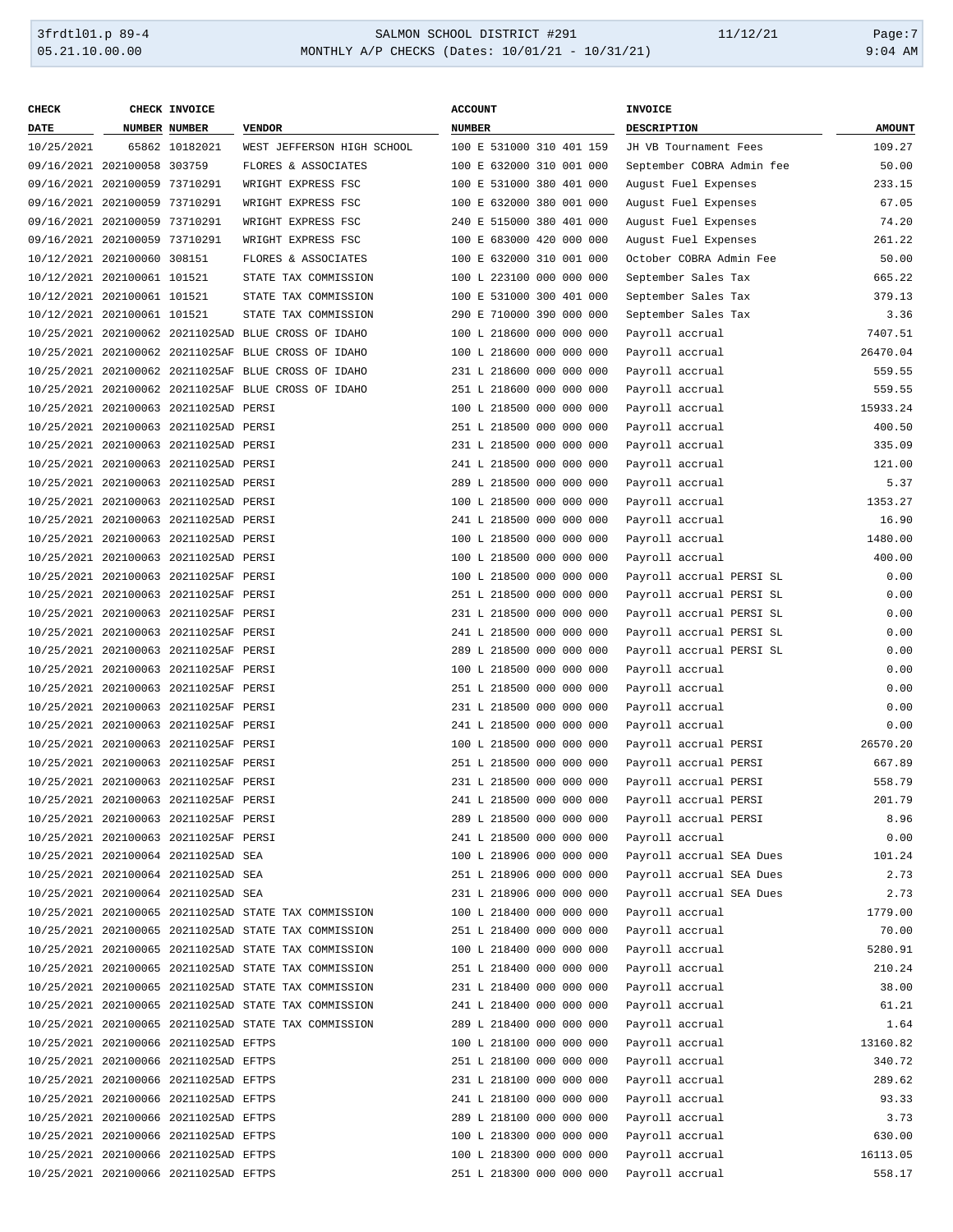#### 3frdtl01.p 89-4 SALMON SCHOOL DISTRICT #291 11/12/21 Page:7 05.21.10.00.00 MONTHLY A/P CHECKS (Dates: 10/01/21 - 10/31/21) 9:04 AM

| <b>CHECK</b>                  | CHECK INVOICE                         |                                                      | <b>ACCOUNT</b>                                 | <b>INVOICE</b>            |               |
|-------------------------------|---------------------------------------|------------------------------------------------------|------------------------------------------------|---------------------------|---------------|
| <b>DATE</b>                   | <b>NUMBER NUMBER</b>                  | <b>VENDOR</b>                                        | <b>NUMBER</b>                                  | <b>DESCRIPTION</b>        | <b>AMOUNT</b> |
| 10/25/2021                    | 65862 10182021                        | WEST JEFFERSON HIGH SCHOOL                           | 100 E 531000 310 401 159                       | JH VB Tournament Fees     | 109.27        |
| 09/16/2021 202100058 303759   |                                       | FLORES & ASSOCIATES                                  | 100 E 632000 310 001 000                       | September COBRA Admin fee | 50.00         |
| 09/16/2021 202100059 73710291 |                                       | WRIGHT EXPRESS FSC                                   | 100 E 531000 380 401 000                       | August Fuel Expenses      | 233.15        |
| 09/16/2021 202100059 73710291 |                                       | WRIGHT EXPRESS FSC                                   | 100 E 632000 380 001 000                       | August Fuel Expenses      | 67.05         |
| 09/16/2021 202100059 73710291 |                                       | WRIGHT EXPRESS FSC                                   | 240 E 515000 380 401 000                       | August Fuel Expenses      | 74.20         |
| 09/16/2021 202100059 73710291 |                                       | WRIGHT EXPRESS FSC                                   | 100 E 683000 420 000 000                       | August Fuel Expenses      | 261.22        |
| 10/12/2021 202100060 308151   |                                       | FLORES & ASSOCIATES                                  | 100 E 632000 310 001 000                       | October COBRA Admin Fee   | 50.00         |
| 10/12/2021 202100061 101521   |                                       | STATE TAX COMMISSION                                 | 100 L 223100 000 000 000                       | September Sales Tax       | 665.22        |
| 10/12/2021 202100061 101521   |                                       | STATE TAX COMMISSION                                 | 100 E 531000 300 401 000                       | September Sales Tax       | 379.13        |
| 10/12/2021 202100061 101521   |                                       | STATE TAX COMMISSION                                 | 290 E 710000 390 000 000                       | September Sales Tax       | 3.36          |
|                               |                                       |                                                      |                                                |                           |               |
|                               |                                       | 10/25/2021 202100062 20211025AD BLUE CROSS OF IDAHO  | 100 L 218600 000 000 000                       | Payroll accrual           | 7407.51       |
|                               |                                       | 10/25/2021 202100062 20211025AF BLUE CROSS OF IDAHO  | 100 L 218600 000 000 000                       | Payroll accrual           | 26470.04      |
|                               |                                       | 10/25/2021 202100062 20211025AF BLUE CROSS OF IDAHO  | 231 L 218600 000 000 000                       | Payroll accrual           | 559.55        |
|                               |                                       | 10/25/2021 202100062 20211025AF BLUE CROSS OF IDAHO  | 251 L 218600 000 000 000                       | Payroll accrual           | 559.55        |
|                               | 10/25/2021 202100063 20211025AD PERSI |                                                      | 100 L 218500 000 000 000                       | Payroll accrual           | 15933.24      |
|                               | 10/25/2021 202100063 20211025AD PERSI |                                                      | 251 L 218500 000 000 000                       | Payroll accrual           | 400.50        |
|                               | 10/25/2021 202100063 20211025AD PERSI |                                                      | 231 L 218500 000 000 000                       | Payroll accrual           | 335.09        |
|                               | 10/25/2021 202100063 20211025AD PERSI |                                                      | 241 L 218500 000 000 000                       | Payroll accrual           | 121.00        |
|                               | 10/25/2021 202100063 20211025AD PERSI |                                                      | 289 L 218500 000 000 000                       | Payroll accrual           | 5.37          |
|                               | 10/25/2021 202100063 20211025AD PERSI |                                                      | 100 L 218500 000 000 000                       | Payroll accrual           | 1353.27       |
|                               | 10/25/2021 202100063 20211025AD PERSI |                                                      | 241 L 218500 000 000 000                       | Payroll accrual           | 16.90         |
|                               | 10/25/2021 202100063 20211025AD PERSI |                                                      | 100 L 218500 000 000 000                       | Payroll accrual           | 1480.00       |
|                               | 10/25/2021 202100063 20211025AD PERSI |                                                      | 100 L 218500 000 000 000                       | Payroll accrual           | 400.00        |
|                               | 10/25/2021 202100063 20211025AF PERSI |                                                      | 100 L 218500 000 000 000                       | Payroll accrual PERSI SL  | 0.00          |
|                               | 10/25/2021 202100063 20211025AF PERSI |                                                      | 251 L 218500 000 000 000                       | Payroll accrual PERSI SL  | 0.00          |
|                               | 10/25/2021 202100063 20211025AF PERSI |                                                      | 231 L 218500 000 000 000                       | Payroll accrual PERSI SL  | 0.00          |
|                               | 10/25/2021 202100063 20211025AF PERSI |                                                      | 241 L 218500 000 000 000                       | Payroll accrual PERSI SL  | 0.00          |
|                               | 10/25/2021 202100063 20211025AF PERSI |                                                      | 289 L 218500 000 000 000                       | Payroll accrual PERSI SL  | 0.00          |
|                               | 10/25/2021 202100063 20211025AF PERSI |                                                      | 100 L 218500 000 000 000                       | Payroll accrual           | 0.00          |
|                               | 10/25/2021 202100063 20211025AF PERSI |                                                      | 251 L 218500 000 000 000                       | Payroll accrual           | 0.00          |
|                               | 10/25/2021 202100063 20211025AF PERSI |                                                      | 231 L 218500 000 000 000                       | Payroll accrual           | 0.00          |
|                               | 10/25/2021 202100063 20211025AF PERSI |                                                      | 241 L 218500 000 000 000                       | Payroll accrual           | 0.00          |
|                               | 10/25/2021 202100063 20211025AF PERSI |                                                      | 100 L 218500 000 000 000                       | Payroll accrual PERSI     | 26570.20      |
|                               | 10/25/2021 202100063 20211025AF PERSI |                                                      | 251 L 218500 000 000 000                       | Payroll accrual PERSI     | 667.89        |
|                               | 10/25/2021 202100063 20211025AF PERSI |                                                      | 231 L 218500 000 000 000                       |                           | 558.79        |
|                               |                                       |                                                      |                                                | Payroll accrual PERSI     | 201.79        |
|                               | 10/25/2021 202100063 20211025AF PERSI |                                                      | 241 L 218500 000 000 000 Payroll accrual PERSI |                           |               |
|                               | 10/25/2021 202100063 20211025AF PERSI |                                                      | 289 L 218500 000 000 000                       | Payroll accrual PERSI     | 8.96          |
|                               | 10/25/2021 202100063 20211025AF PERSI |                                                      | 241 L 218500 000 000 000                       | Payroll accrual           | 0.00          |
|                               | 10/25/2021 202100064 20211025AD SEA   |                                                      | 100 L 218906 000 000 000                       | Payroll accrual SEA Dues  | 101.24        |
|                               | 10/25/2021 202100064 20211025AD SEA   |                                                      | 251 L 218906 000 000 000                       | Payroll accrual SEA Dues  | 2.73          |
|                               | 10/25/2021 202100064 20211025AD SEA   |                                                      | 231 L 218906 000 000 000                       | Payroll accrual SEA Dues  | 2.73          |
|                               |                                       | 10/25/2021 202100065 20211025AD STATE TAX COMMISSION | 100 L 218400 000 000 000                       | Payroll accrual           | 1779.00       |
|                               |                                       | 10/25/2021 202100065 20211025AD STATE TAX COMMISSION | 251 L 218400 000 000 000                       | Payroll accrual           | 70.00         |
|                               |                                       | 10/25/2021 202100065 20211025AD STATE TAX COMMISSION | 100 L 218400 000 000 000                       | Payroll accrual           | 5280.91       |
|                               |                                       | 10/25/2021 202100065 20211025AD STATE TAX COMMISSION | 251 L 218400 000 000 000                       | Payroll accrual           | 210.24        |
|                               |                                       | 10/25/2021 202100065 20211025AD STATE TAX COMMISSION | 231 L 218400 000 000 000                       | Payroll accrual           | 38.00         |
|                               |                                       | 10/25/2021 202100065 20211025AD STATE TAX COMMISSION | 241 L 218400 000 000 000                       | Payroll accrual           | 61.21         |
|                               |                                       | 10/25/2021 202100065 20211025AD STATE TAX COMMISSION | 289 L 218400 000 000 000                       | Payroll accrual           | 1.64          |
|                               | 10/25/2021 202100066 20211025AD EFTPS |                                                      | 100 L 218100 000 000 000                       | Payroll accrual           | 13160.82      |
|                               | 10/25/2021 202100066 20211025AD EFTPS |                                                      | 251 L 218100 000 000 000                       | Payroll accrual           | 340.72        |
|                               | 10/25/2021 202100066 20211025AD EFTPS |                                                      | 231 L 218100 000 000 000                       | Payroll accrual           | 289.62        |
|                               | 10/25/2021 202100066 20211025AD EFTPS |                                                      | 241 L 218100 000 000 000                       | Payroll accrual           | 93.33         |
|                               | 10/25/2021 202100066 20211025AD EFTPS |                                                      | 289 L 218100 000 000 000                       | Payroll accrual           | 3.73          |
|                               | 10/25/2021 202100066 20211025AD EFTPS |                                                      | 100 L 218300 000 000 000                       | Payroll accrual           | 630.00        |
|                               | 10/25/2021 202100066 20211025AD EFTPS |                                                      | 100 L 218300 000 000 000                       | Payroll accrual           | 16113.05      |
|                               | 10/25/2021 202100066 20211025AD EFTPS |                                                      | 251 L 218300 000 000 000                       | Payroll accrual           | 558.17        |
|                               |                                       |                                                      |                                                |                           |               |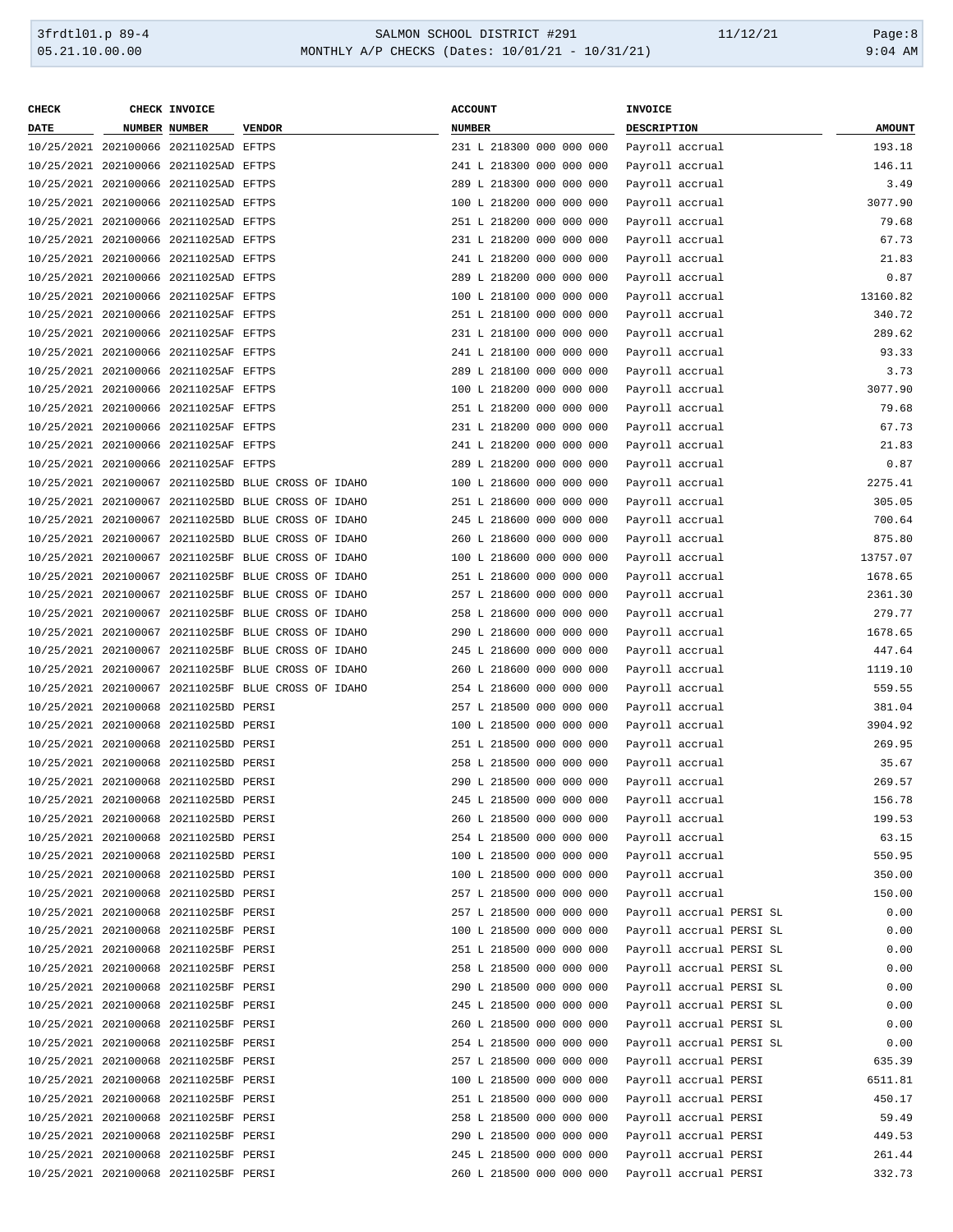#### 3frdtl01.p 89-4 SALMON SCHOOL DISTRICT #291 11/12/21 Page:8 05.21.10.00.00 MONTHLY A/P CHECKS (Dates: 10/01/21 - 10/31/21) 9:04 AM

| <b>CHECK</b> | CHECK INVOICE                         |                                                     | <b>ACCOUNT</b>           |  | <b>INVOICE</b>     |                       |                          |               |
|--------------|---------------------------------------|-----------------------------------------------------|--------------------------|--|--------------------|-----------------------|--------------------------|---------------|
| <b>DATE</b>  | NUMBER NUMBER                         | <b>VENDOR</b>                                       | <b>NUMBER</b>            |  | <b>DESCRIPTION</b> |                       |                          | <b>AMOUNT</b> |
|              | 10/25/2021 202100066 20211025AD EFTPS |                                                     | 231 L 218300 000 000 000 |  | Payroll accrual    |                       |                          | 193.18        |
|              | 10/25/2021 202100066 20211025AD EFTPS |                                                     | 241 L 218300 000 000 000 |  | Payroll accrual    |                       |                          | 146.11        |
|              | 10/25/2021 202100066 20211025AD EFTPS |                                                     | 289 L 218300 000 000 000 |  | Payroll accrual    |                       |                          | 3.49          |
|              | 10/25/2021 202100066 20211025AD EFTPS |                                                     | 100 L 218200 000 000 000 |  | Payroll accrual    |                       |                          | 3077.90       |
|              | 10/25/2021 202100066 20211025AD EFTPS |                                                     | 251 L 218200 000 000 000 |  | Payroll accrual    |                       |                          | 79.68         |
|              | 10/25/2021 202100066 20211025AD EFTPS |                                                     | 231 L 218200 000 000 000 |  | Payroll accrual    |                       |                          | 67.73         |
|              | 10/25/2021 202100066 20211025AD EFTPS |                                                     | 241 L 218200 000 000 000 |  | Payroll accrual    |                       |                          | 21.83         |
|              | 10/25/2021 202100066 20211025AD EFTPS |                                                     | 289 L 218200 000 000 000 |  | Payroll accrual    |                       |                          | 0.87          |
|              | 10/25/2021 202100066 20211025AF EFTPS |                                                     | 100 L 218100 000 000 000 |  | Payroll accrual    |                       |                          | 13160.82      |
|              | 10/25/2021 202100066 20211025AF EFTPS |                                                     | 251 L 218100 000 000 000 |  | Payroll accrual    |                       |                          | 340.72        |
|              |                                       |                                                     |                          |  |                    |                       |                          | 289.62        |
|              | 10/25/2021 202100066 20211025AF EFTPS |                                                     | 231 L 218100 000 000 000 |  | Payroll accrual    |                       |                          |               |
|              | 10/25/2021 202100066 20211025AF EFTPS |                                                     | 241 L 218100 000 000 000 |  | Payroll accrual    |                       |                          | 93.33         |
|              | 10/25/2021 202100066 20211025AF EFTPS |                                                     | 289 L 218100 000 000 000 |  | Payroll accrual    |                       |                          | 3.73          |
|              | 10/25/2021 202100066 20211025AF EFTPS |                                                     | 100 L 218200 000 000 000 |  | Payroll accrual    |                       |                          | 3077.90       |
|              | 10/25/2021 202100066 20211025AF EFTPS |                                                     | 251 L 218200 000 000 000 |  | Payroll accrual    |                       |                          | 79.68         |
|              | 10/25/2021 202100066 20211025AF EFTPS |                                                     | 231 L 218200 000 000 000 |  | Payroll accrual    |                       |                          | 67.73         |
|              | 10/25/2021 202100066 20211025AF EFTPS |                                                     | 241 L 218200 000 000 000 |  | Payroll accrual    |                       |                          | 21.83         |
|              | 10/25/2021 202100066 20211025AF EFTPS |                                                     | 289 L 218200 000 000 000 |  | Payroll accrual    |                       |                          | 0.87          |
|              |                                       | 10/25/2021 202100067 20211025BD BLUE CROSS OF IDAHO | 100 L 218600 000 000 000 |  | Payroll accrual    |                       |                          | 2275.41       |
|              |                                       | 10/25/2021 202100067 20211025BD BLUE CROSS OF IDAHO | 251 L 218600 000 000 000 |  | Payroll accrual    |                       |                          | 305.05        |
|              |                                       | 10/25/2021 202100067 20211025BD BLUE CROSS OF IDAHO | 245 L 218600 000 000 000 |  | Payroll accrual    |                       |                          | 700.64        |
|              |                                       | 10/25/2021 202100067 20211025BD BLUE CROSS OF IDAHO | 260 L 218600 000 000 000 |  | Payroll accrual    |                       |                          | 875.80        |
|              |                                       | 10/25/2021 202100067 20211025BF BLUE CROSS OF IDAHO | 100 L 218600 000 000 000 |  | Payroll accrual    |                       |                          | 13757.07      |
|              |                                       | 10/25/2021 202100067 20211025BF BLUE CROSS OF IDAHO | 251 L 218600 000 000 000 |  | Payroll accrual    |                       |                          | 1678.65       |
|              |                                       | 10/25/2021 202100067 20211025BF BLUE CROSS OF IDAHO | 257 L 218600 000 000 000 |  | Payroll accrual    |                       |                          | 2361.30       |
|              |                                       | 10/25/2021 202100067 20211025BF BLUE CROSS OF IDAHO | 258 L 218600 000 000 000 |  | Payroll accrual    |                       |                          | 279.77        |
|              |                                       | 10/25/2021 202100067 20211025BF BLUE CROSS OF IDAHO | 290 L 218600 000 000 000 |  | Payroll accrual    |                       |                          | 1678.65       |
|              |                                       | 10/25/2021 202100067 20211025BF BLUE CROSS OF IDAHO | 245 L 218600 000 000 000 |  | Payroll accrual    |                       |                          | 447.64        |
|              |                                       | 10/25/2021 202100067 20211025BF BLUE CROSS OF IDAHO | 260 L 218600 000 000 000 |  | Payroll accrual    |                       |                          | 1119.10       |
|              |                                       | 10/25/2021 202100067 20211025BF BLUE CROSS OF IDAHO | 254 L 218600 000 000 000 |  | Payroll accrual    |                       |                          | 559.55        |
|              | 10/25/2021 202100068 20211025BD PERSI |                                                     | 257 L 218500 000 000 000 |  | Payroll accrual    |                       |                          | 381.04        |
|              | 10/25/2021 202100068 20211025BD PERSI |                                                     | 100 L 218500 000 000 000 |  | Payroll accrual    |                       |                          | 3904.92       |
|              | 10/25/2021 202100068 20211025BD PERSI |                                                     | 251 L 218500 000 000 000 |  | Payroll accrual    |                       |                          | 269.95        |
|              | 10/25/2021 202100068 20211025BD PERSI |                                                     | 258 L 218500 000 000 000 |  | Payroll accrual    |                       |                          | 35.67         |
|              | 10/25/2021 202100068 20211025BD PERSI |                                                     | 290 L 218500 000 000 000 |  | Payroll accrual    |                       |                          | 269.57        |
|              |                                       |                                                     |                          |  |                    |                       |                          |               |
|              | 10/25/2021 202100068 20211025BD PERSI |                                                     | 245 L 218500 000 000 000 |  | Payroll accrual    |                       |                          | 156.78        |
|              | 10/25/2021 202100068 20211025BD PERSI |                                                     | 260 L 218500 000 000 000 |  | Payroll accrual    |                       |                          | 199.53        |
|              | 10/25/2021 202100068 20211025BD PERSI |                                                     | 254 L 218500 000 000 000 |  |                    | Payroll accrual       |                          | 63.15         |
|              | 10/25/2021 202100068 20211025BD PERSI |                                                     | 100 L 218500 000 000 000 |  |                    | Payroll accrual       |                          | 550.95        |
|              | 10/25/2021 202100068 20211025BD PERSI |                                                     | 100 L 218500 000 000 000 |  |                    | Payroll accrual       |                          | 350.00        |
|              | 10/25/2021 202100068 20211025BD PERSI |                                                     | 257 L 218500 000 000 000 |  | Payroll accrual    |                       |                          | 150.00        |
|              | 10/25/2021 202100068 20211025BF PERSI |                                                     | 257 L 218500 000 000 000 |  |                    |                       | Payroll accrual PERSI SL | 0.00          |
|              | 10/25/2021 202100068 20211025BF PERSI |                                                     | 100 L 218500 000 000 000 |  |                    |                       | Payroll accrual PERSI SL | 0.00          |
|              | 10/25/2021 202100068 20211025BF PERSI |                                                     | 251 L 218500 000 000 000 |  |                    |                       | Payroll accrual PERSI SL | 0.00          |
|              | 10/25/2021 202100068 20211025BF PERSI |                                                     | 258 L 218500 000 000 000 |  |                    |                       | Payroll accrual PERSI SL | 0.00          |
|              | 10/25/2021 202100068 20211025BF PERSI |                                                     | 290 L 218500 000 000 000 |  |                    |                       | Payroll accrual PERSI SL | 0.00          |
|              | 10/25/2021 202100068 20211025BF PERSI |                                                     | 245 L 218500 000 000 000 |  |                    |                       | Payroll accrual PERSI SL | 0.00          |
|              | 10/25/2021 202100068 20211025BF PERSI |                                                     | 260 L 218500 000 000 000 |  |                    |                       | Payroll accrual PERSI SL | 0.00          |
|              | 10/25/2021 202100068 20211025BF PERSI |                                                     | 254 L 218500 000 000 000 |  |                    |                       | Payroll accrual PERSI SL | 0.00          |
|              | 10/25/2021 202100068 20211025BF PERSI |                                                     | 257 L 218500 000 000 000 |  |                    | Payroll accrual PERSI |                          | 635.39        |
|              | 10/25/2021 202100068 20211025BF PERSI |                                                     | 100 L 218500 000 000 000 |  |                    | Payroll accrual PERSI |                          | 6511.81       |
|              | 10/25/2021 202100068 20211025BF PERSI |                                                     | 251 L 218500 000 000 000 |  |                    | Payroll accrual PERSI |                          | 450.17        |
|              | 10/25/2021 202100068 20211025BF PERSI |                                                     | 258 L 218500 000 000 000 |  |                    | Payroll accrual PERSI |                          | 59.49         |
|              | 10/25/2021 202100068 20211025BF PERSI |                                                     | 290 L 218500 000 000 000 |  |                    | Payroll accrual PERSI |                          | 449.53        |
|              | 10/25/2021 202100068 20211025BF PERSI |                                                     | 245 L 218500 000 000 000 |  |                    | Payroll accrual PERSI |                          | 261.44        |
|              | 10/25/2021 202100068 20211025BF PERSI |                                                     | 260 L 218500 000 000 000 |  |                    | Payroll accrual PERSI |                          | 332.73        |
|              |                                       |                                                     |                          |  |                    |                       |                          |               |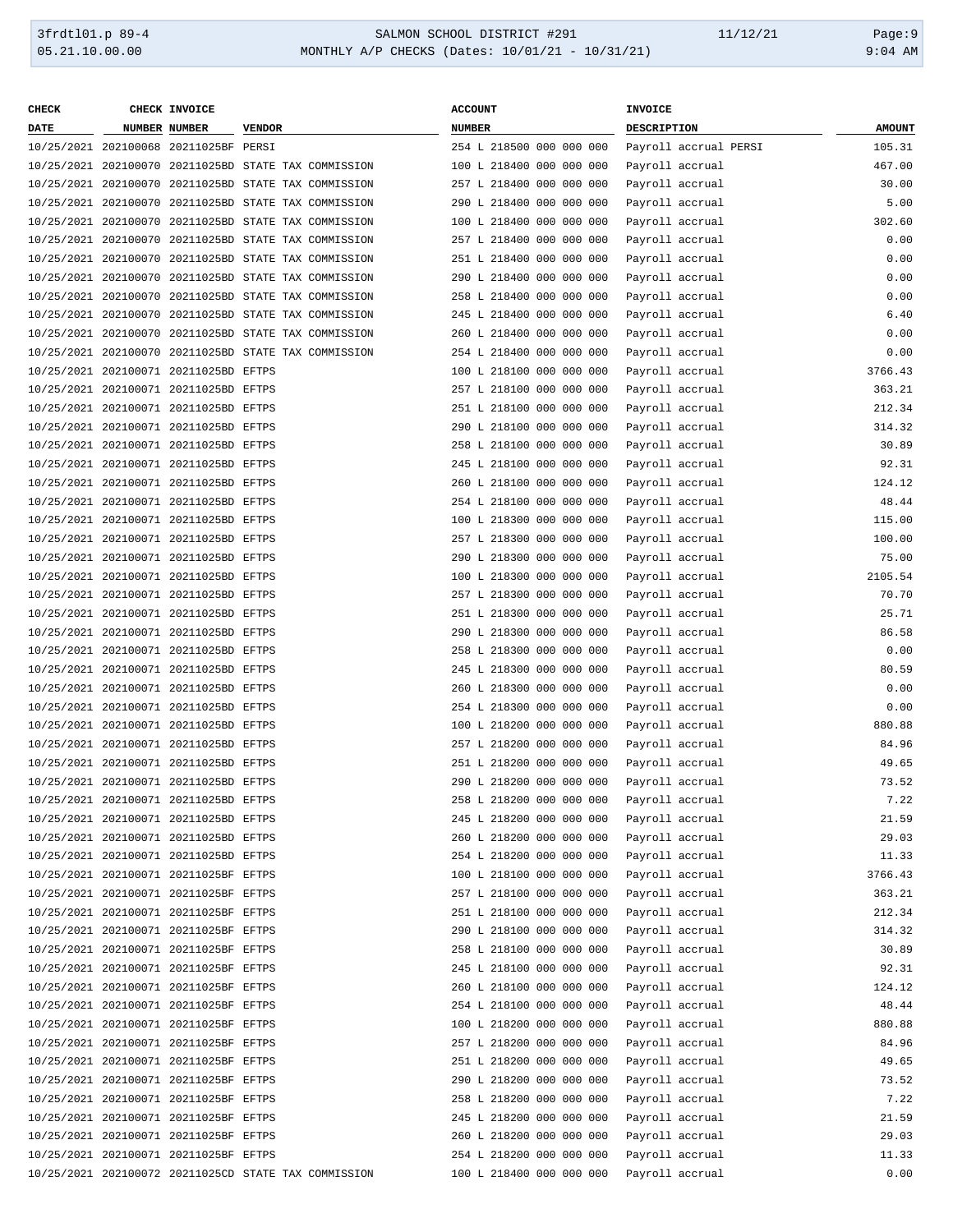#### 3frdtl01.p 89-4 SALMON SCHOOL DISTRICT #291 11/12/21 Page:9 05.21.10.00.00 MONTHLY A/P CHECKS (Dates: 10/01/21 - 10/31/21) 9:04 AM

| <b>CHECK</b> | CHECK INVOICE                         |                                                      | <b>ACCOUNT</b>           | INVOICE         |                       |               |
|--------------|---------------------------------------|------------------------------------------------------|--------------------------|-----------------|-----------------------|---------------|
| <b>DATE</b>  | NUMBER NUMBER                         | <b>VENDOR</b>                                        | <b>NUMBER</b>            | DESCRIPTION     |                       | <b>AMOUNT</b> |
|              | 10/25/2021 202100068 20211025BF PERSI |                                                      | 254 L 218500 000 000 000 |                 | Payroll accrual PERSI | 105.31        |
|              |                                       | 10/25/2021 202100070 20211025BD STATE TAX COMMISSION | 100 L 218400 000 000 000 | Payroll accrual |                       | 467.00        |
|              |                                       | 10/25/2021 202100070 20211025BD STATE TAX COMMISSION | 257 L 218400 000 000 000 |                 | Payroll accrual       | 30.00         |
|              |                                       | 10/25/2021 202100070 20211025BD STATE TAX COMMISSION | 290 L 218400 000 000 000 |                 | Payroll accrual       | 5.00          |
|              |                                       | 10/25/2021 202100070 20211025BD STATE TAX COMMISSION | 100 L 218400 000 000 000 |                 | Payroll accrual       | 302.60        |
|              |                                       | 10/25/2021 202100070 20211025BD STATE TAX COMMISSION | 257 L 218400 000 000 000 |                 | Payroll accrual       | 0.00          |
|              |                                       | 10/25/2021 202100070 20211025BD STATE TAX COMMISSION | 251 L 218400 000 000 000 |                 | Payroll accrual       | 0.00          |
|              |                                       | 10/25/2021 202100070 20211025BD STATE TAX COMMISSION | 290 L 218400 000 000 000 |                 | Payroll accrual       | 0.00          |
|              |                                       | 10/25/2021 202100070 20211025BD STATE TAX COMMISSION | 258 L 218400 000 000 000 |                 | Payroll accrual       | 0.00          |
|              |                                       | 10/25/2021 202100070 20211025BD STATE TAX COMMISSION | 245 L 218400 000 000 000 |                 | Payroll accrual       | 6.40          |
|              |                                       | 10/25/2021 202100070 20211025BD STATE TAX COMMISSION | 260 L 218400 000 000 000 |                 | Payroll accrual       | 0.00          |
|              |                                       | 10/25/2021 202100070 20211025BD STATE TAX COMMISSION | 254 L 218400 000 000 000 |                 | Payroll accrual       | 0.00          |
|              | 10/25/2021 202100071 20211025BD EFTPS |                                                      | 100 L 218100 000 000 000 |                 | Payroll accrual       | 3766.43       |
|              | 10/25/2021 202100071 20211025BD EFTPS |                                                      | 257 L 218100 000 000 000 |                 | Payroll accrual       | 363.21        |
|              | 10/25/2021 202100071 20211025BD EFTPS |                                                      | 251 L 218100 000 000 000 |                 | Payroll accrual       | 212.34        |
|              | 10/25/2021 202100071 20211025BD EFTPS |                                                      | 290 L 218100 000 000 000 |                 | Payroll accrual       | 314.32        |
|              |                                       |                                                      |                          |                 |                       |               |
|              | 10/25/2021 202100071 20211025BD EFTPS |                                                      | 258 L 218100 000 000 000 |                 | Payroll accrual       | 30.89         |
|              | 10/25/2021 202100071 20211025BD EFTPS |                                                      | 245 L 218100 000 000 000 |                 | Payroll accrual       | 92.31         |
|              | 10/25/2021 202100071 20211025BD EFTPS |                                                      | 260 L 218100 000 000 000 |                 | Payroll accrual       | 124.12        |
|              | 10/25/2021 202100071 20211025BD EFTPS |                                                      | 254 L 218100 000 000 000 |                 | Payroll accrual       | 48.44         |
|              | 10/25/2021 202100071 20211025BD EFTPS |                                                      | 100 L 218300 000 000 000 |                 | Payroll accrual       | 115.00        |
|              | 10/25/2021 202100071 20211025BD EFTPS |                                                      | 257 L 218300 000 000 000 |                 | Payroll accrual       | 100.00        |
|              | 10/25/2021 202100071 20211025BD EFTPS |                                                      | 290 L 218300 000 000 000 |                 | Payroll accrual       | 75.00         |
|              | 10/25/2021 202100071 20211025BD EFTPS |                                                      | 100 L 218300 000 000 000 |                 | Payroll accrual       | 2105.54       |
|              | 10/25/2021 202100071 20211025BD EFTPS |                                                      | 257 L 218300 000 000 000 |                 | Payroll accrual       | 70.70         |
|              | 10/25/2021 202100071 20211025BD EFTPS |                                                      | 251 L 218300 000 000 000 |                 | Payroll accrual       | 25.71         |
|              | 10/25/2021 202100071 20211025BD EFTPS |                                                      | 290 L 218300 000 000 000 |                 | Payroll accrual       | 86.58         |
|              | 10/25/2021 202100071 20211025BD EFTPS |                                                      | 258 L 218300 000 000 000 |                 | Payroll accrual       | 0.00          |
|              | 10/25/2021 202100071 20211025BD EFTPS |                                                      | 245 L 218300 000 000 000 |                 | Payroll accrual       | 80.59         |
|              | 10/25/2021 202100071 20211025BD EFTPS |                                                      | 260 L 218300 000 000 000 |                 | Payroll accrual       | 0.00          |
|              | 10/25/2021 202100071 20211025BD EFTPS |                                                      | 254 L 218300 000 000 000 |                 | Payroll accrual       | 0.00          |
|              | 10/25/2021 202100071 20211025BD EFTPS |                                                      | 100 L 218200 000 000 000 |                 | Payroll accrual       | 880.88        |
|              | 10/25/2021 202100071 20211025BD EFTPS |                                                      | 257 L 218200 000 000 000 |                 | Payroll accrual       | 84.96         |
|              | 10/25/2021 202100071 20211025BD EFTPS |                                                      | 251 L 218200 000 000 000 | Payroll accrual |                       | 49.65         |
|              | 10/25/2021 202100071 20211025BD EFTPS |                                                      | 290 L 218200 000 000 000 | Payroll accrual |                       | 73.52         |
|              | 10/25/2021 202100071 20211025BD EFTPS |                                                      | 258 L 218200 000 000 000 | Payroll accrual |                       | 7.22          |
|              | 10/25/2021 202100071 20211025BD EFTPS |                                                      | 245 L 218200 000 000 000 | Payroll accrual |                       | 21.59         |
|              | 10/25/2021 202100071 20211025BD EFTPS |                                                      | 260 L 218200 000 000 000 |                 | Payroll accrual       | 29.03         |
|              | 10/25/2021 202100071 20211025BD EFTPS |                                                      | 254 L 218200 000 000 000 |                 | Payroll accrual       | 11.33         |
|              | 10/25/2021 202100071 20211025BF EFTPS |                                                      | 100 L 218100 000 000 000 |                 | Payroll accrual       | 3766.43       |
|              | 10/25/2021 202100071 20211025BF EFTPS |                                                      | 257 L 218100 000 000 000 |                 | Payroll accrual       | 363.21        |
|              | 10/25/2021 202100071 20211025BF EFTPS |                                                      | 251 L 218100 000 000 000 |                 | Payroll accrual       | 212.34        |
|              | 10/25/2021 202100071 20211025BF EFTPS |                                                      | 290 L 218100 000 000 000 |                 |                       |               |
|              |                                       |                                                      |                          |                 | Payroll accrual       | 314.32        |
|              | 10/25/2021 202100071 20211025BF EFTPS |                                                      | 258 L 218100 000 000 000 |                 | Payroll accrual       | 30.89         |
|              | 10/25/2021 202100071 20211025BF EFTPS |                                                      | 245 L 218100 000 000 000 |                 | Payroll accrual       | 92.31         |
|              | 10/25/2021 202100071 20211025BF EFTPS |                                                      | 260 L 218100 000 000 000 |                 | Payroll accrual       | 124.12        |
|              | 10/25/2021 202100071 20211025BF EFTPS |                                                      | 254 L 218100 000 000 000 |                 | Payroll accrual       | 48.44         |
|              | 10/25/2021 202100071 20211025BF EFTPS |                                                      | 100 L 218200 000 000 000 |                 | Payroll accrual       | 880.88        |
|              | 10/25/2021 202100071 20211025BF EFTPS |                                                      | 257 L 218200 000 000 000 |                 | Payroll accrual       | 84.96         |
|              | 10/25/2021 202100071 20211025BF EFTPS |                                                      | 251 L 218200 000 000 000 |                 | Payroll accrual       | 49.65         |
|              | 10/25/2021 202100071 20211025BF EFTPS |                                                      | 290 L 218200 000 000 000 |                 | Payroll accrual       | 73.52         |
|              | 10/25/2021 202100071 20211025BF EFTPS |                                                      | 258 L 218200 000 000 000 |                 | Payroll accrual       | 7.22          |
|              | 10/25/2021 202100071 20211025BF EFTPS |                                                      | 245 L 218200 000 000 000 |                 | Payroll accrual       | 21.59         |
|              | 10/25/2021 202100071 20211025BF EFTPS |                                                      | 260 L 218200 000 000 000 |                 | Payroll accrual       | 29.03         |
|              | 10/25/2021 202100071 20211025BF EFTPS |                                                      | 254 L 218200 000 000 000 |                 | Payroll accrual       | 11.33         |
|              |                                       | 10/25/2021 202100072 20211025CD STATE TAX COMMISSION | 100 L 218400 000 000 000 |                 | Payroll accrual       | 0.00          |
|              |                                       |                                                      |                          |                 |                       |               |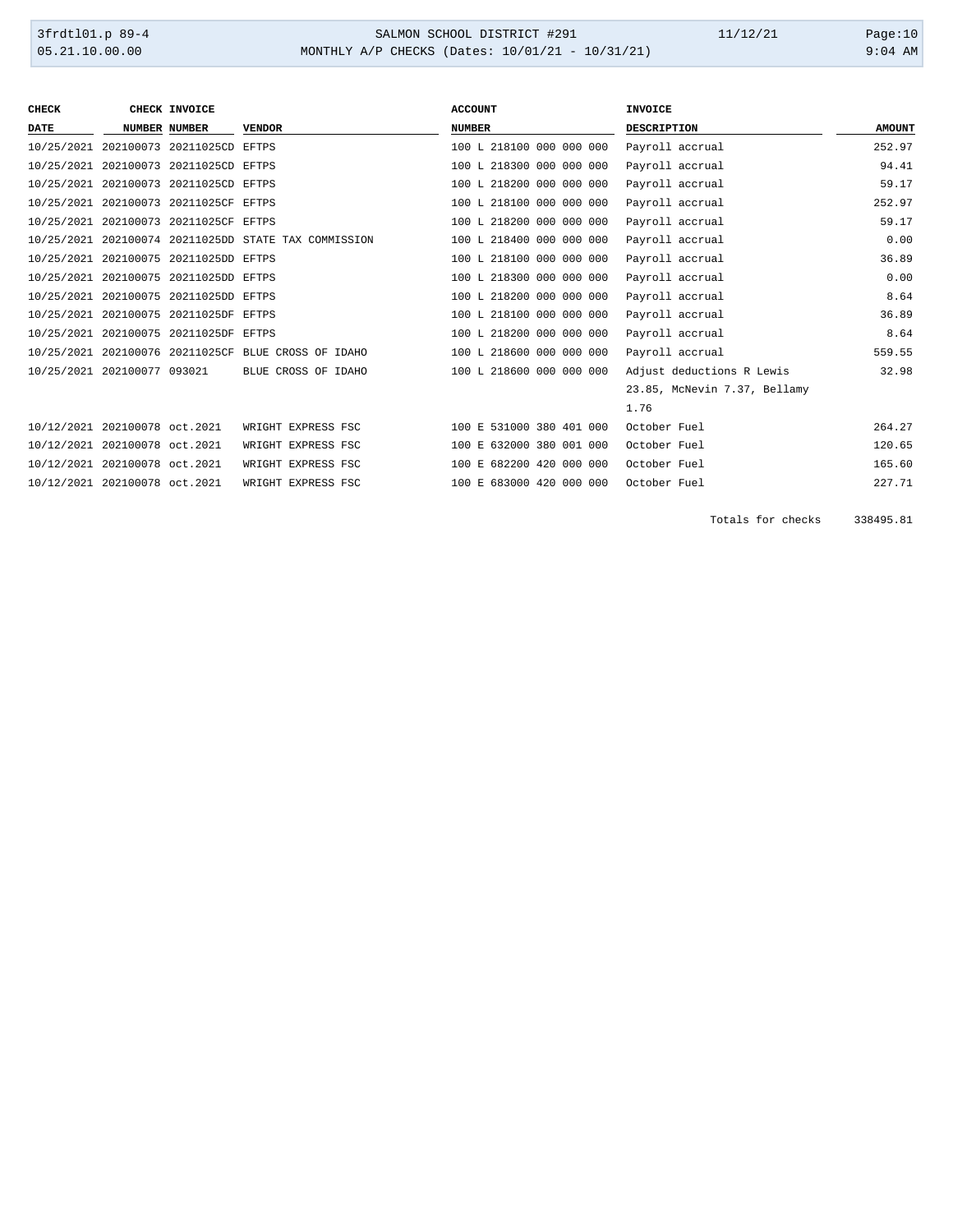# 3frdtl01.p 89-4 SALMON SCHOOL DISTRICT #291 11/12/21 Page:10 MONTHLY A/P CHECKS (Dates: 10/01/21 - 10/31/21)

| <b>CHECK</b>                  | CHECK INVOICE                         |                                                      | <b>ACCOUNT</b>              | <b>INVOICE</b>               |               |
|-------------------------------|---------------------------------------|------------------------------------------------------|-----------------------------|------------------------------|---------------|
| <b>DATE</b>                   | <b>NUMBER NUMBER</b>                  | <b>VENDOR</b>                                        | <b>NUMBER</b>               | <b>DESCRIPTION</b>           | <b>AMOUNT</b> |
|                               | 10/25/2021 202100073 20211025CD EFTPS |                                                      | 100 L 218100 000 000 000    | Payroll accrual              | 252.97        |
|                               | 10/25/2021 202100073 20211025CD EFTPS |                                                      | 100 L 218300 000 000 000    | Payroll accrual              | 94.41         |
| 10/25/2021                    | 202100073 20211025CD EFTPS            |                                                      | 100 L 218200 000 000 000    | Payroll accrual              | 59.17         |
|                               | 10/25/2021 202100073 20211025CF EFTPS |                                                      | 100 L 218100 000 000 000    | Payroll accrual              | 252.97        |
|                               | 10/25/2021 202100073 20211025CF EFTPS |                                                      | 100 L 218200 000 000 000    | Payroll accrual              | 59.17         |
|                               |                                       | 10/25/2021 202100074 20211025DD STATE TAX COMMISSION | 100 L 218400 000 000 000    | Payroll accrual              | 0.00          |
|                               | 10/25/2021 202100075 20211025DD EFTPS |                                                      | 100 L 218100 000 000 000    | Payroll accrual              | 36.89         |
|                               | 10/25/2021 202100075 20211025DD EFTPS |                                                      | 100 L 218300 000 000 000    | Payroll accrual              | 0.00          |
|                               | 10/25/2021 202100075 20211025DD EFTPS |                                                      | 100 L 218200 000 000 000    | Payroll accrual              | 8.64          |
|                               | 10/25/2021 202100075 20211025DF EFTPS |                                                      | 100 L 218100 000 000 000    | Payroll accrual              | 36.89         |
|                               | 10/25/2021 202100075 20211025DF EFTPS |                                                      | 100 L 218200 000 000 000    | Payroll accrual              | 8.64          |
|                               |                                       | 10/25/2021 202100076 20211025CF BLUE CROSS OF IDAHO  | 100 L 218600 000 000 000    | Pavroll accrual              | 559.55        |
| 10/25/2021 202100077 093021   |                                       | BLUE CROSS OF IDAHO                                  | 100 L 218600 000 000 000    | Adjust deductions R Lewis    | 32.98         |
|                               |                                       |                                                      |                             | 23.85, McNevin 7.37, Bellamy |               |
|                               |                                       |                                                      |                             | 1.76                         |               |
| 10/12/2021 202100078 oct.2021 |                                       | WRIGHT EXPRESS FSC                                   | 100 E 531000 380 401 000    | October Fuel                 | 264.27        |
| 10/12/2021 202100078 oct.2021 |                                       | WRIGHT EXPRESS FSC                                   | 100 E 632000 380 001 000    | October Fuel                 | 120.65        |
| 10/12/2021 202100078 oct.2021 |                                       | WRIGHT EXPRESS FSC                                   | E 682200 420 000 000<br>100 | October Fuel                 | 165.60        |
| 10/12/2021 202100078 oct.2021 |                                       | WRIGHT EXPRESS FSC                                   | 100 E 683000 420 000 000    | October Fuel                 | 227.71        |

Totals for checks 338495.81